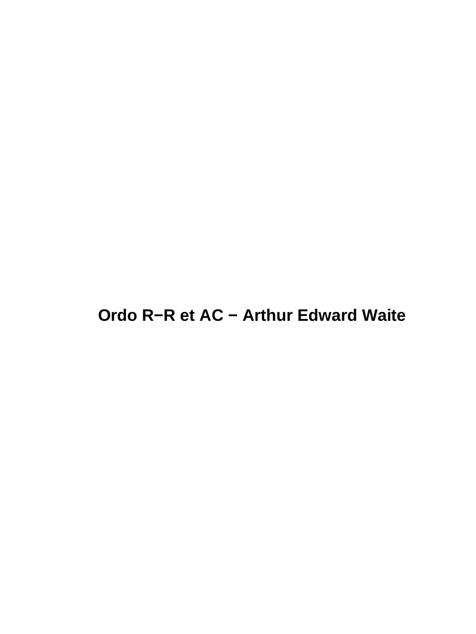#### **Ordo R−R et AC − Arthur Edward Waite**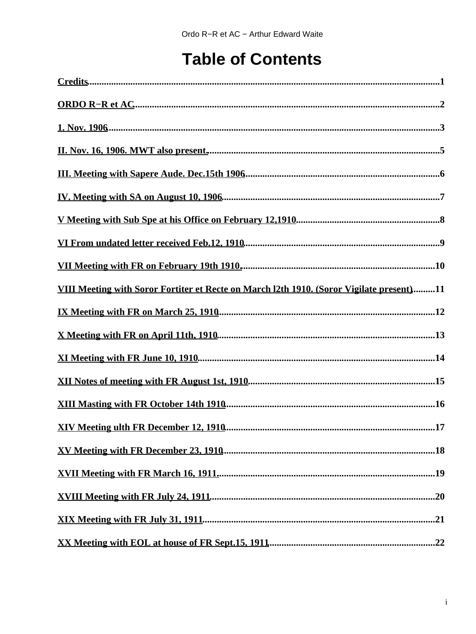#### **Table of Contents**

| VIII Meeting with Soror Fortiter et Recte on March 12th 1910. (Soror Vigilate present)11 |
|------------------------------------------------------------------------------------------|
|                                                                                          |
|                                                                                          |
|                                                                                          |
|                                                                                          |
|                                                                                          |
|                                                                                          |
|                                                                                          |
|                                                                                          |
|                                                                                          |
|                                                                                          |
|                                                                                          |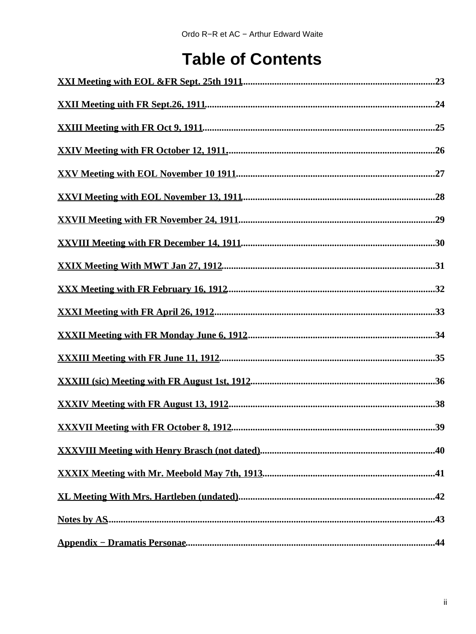#### **Table of Contents**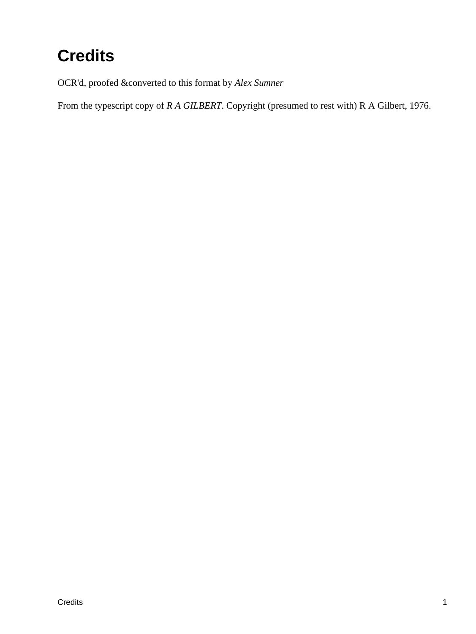# <span id="page-3-0"></span>**Credits**

OCR'd, proofed &converted to this format by *Alex Sumner*

From the typescript copy of *R A GILBERT*. Copyright (presumed to rest with) R A Gilbert, 1976.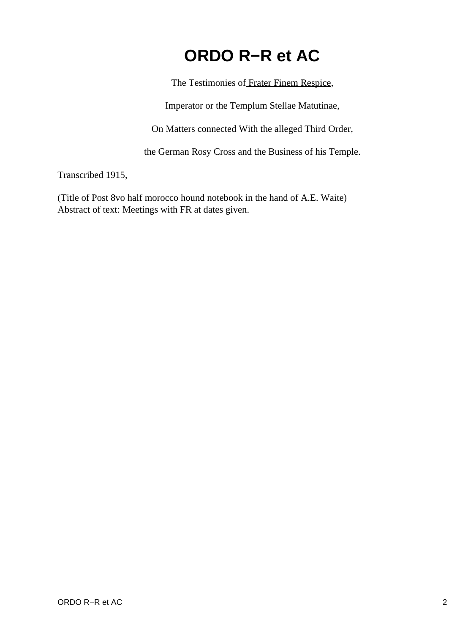#### **ORDO R−R et AC**

The Testimonies of [Frater Finem Respice,](#page-46-1)

Imperator or the Templum Stellae Matutinae,

On Matters connected With the alleged Third Order,

the German Rosy Cross and the Business of his Temple.

<span id="page-4-0"></span>Transcribed 1915,

(Title of Post 8vo half morocco hound notebook in the hand of A.E. Waite) Abstract of text: Meetings with FR at dates given.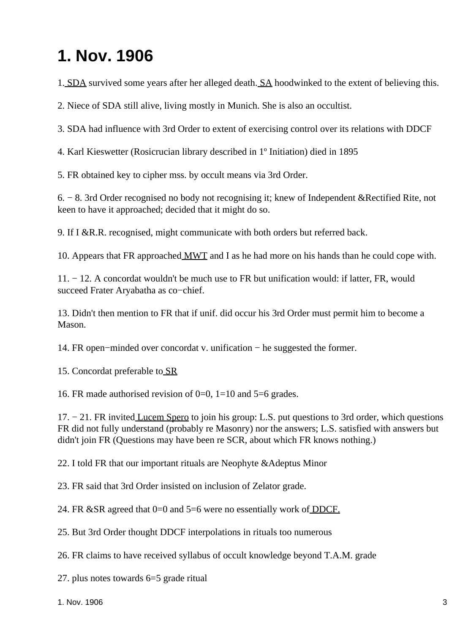#### <span id="page-5-0"></span>**1. Nov. 1906**

1. [SDA](#page-46-2) survived some years after her alleged death. [SA](#page-46-3) hoodwinked to the extent of believing this.

2. Niece of SDA still alive, living mostly in Munich. She is also an occultist.

3. SDA had influence with 3rd Order to extent of exercising control over its relations with DDCF

4. Karl Kieswetter (Rosicrucian library described in 1º Initiation) died in 1895

5. FR obtained key to cipher mss. by occult means via 3rd Order.

6. − 8. 3rd Order recognised no body not recognising it; knew of Independent &Rectified Rite, not keen to have it approached; decided that it might do so.

9. If I &R.R. recognised, might communicate with both orders but referred back.

10. Appears that FR approached [MWT](#page-46-4) and I as he had more on his hands than he could cope with.

11. − 12. A concordat wouldn't be much use to FR but unification would: if latter, FR, would succeed Frater Aryabatha as co−chief.

13. Didn't then mention to FR that if unif. did occur his 3rd Order must permit him to become a Mason.

14. FR open−minded over concordat v. unification − he suggested the former.

15. Concordat preferable to [SR](#page-46-5)

16. FR made authorised revision of  $0=0$ ,  $1=10$  and  $5=6$  grades.

17. − 21. FR invited [Lucem Spero](#page-46-6) to join his group: L.S. put questions to 3rd order, which questions FR did not fully understand (probably re Masonry) nor the answers; L.S. satisfied with answers but didn't join FR (Questions may have been re SCR, about which FR knows nothing.)

22. I told FR that our important rituals are Neophyte &Adeptus Minor

23. FR said that 3rd Order insisted on inclusion of Zelator grade.

24. FR &SR agreed that 0=0 and 5=6 were no essentially work o[f DDCF.](#page-46-7)

25. But 3rd Order thought DDCF interpolations in rituals too numerous

26. FR claims to have received syllabus of occult knowledge beyond T.A.M. grade

27. plus notes towards 6=5 grade ritual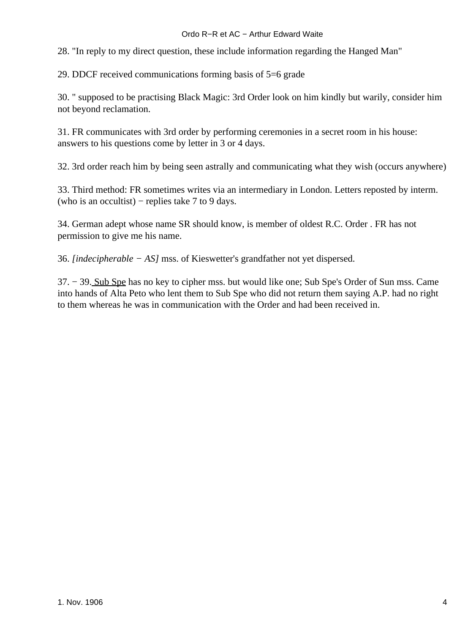#### Ordo R−R et AC − Arthur Edward Waite

28. "In reply to my direct question, these include information regarding the Hanged Man"

29. DDCF received communications forming basis of 5=6 grade

30. " supposed to be practising Black Magic: 3rd Order look on him kindly but warily, consider him not beyond reclamation.

31. FR communicates with 3rd order by performing ceremonies in a secret room in his house: answers to his questions come by letter in 3 or 4 days.

32. 3rd order reach him by being seen astrally and communicating what they wish (occurs anywhere)

33. Third method: FR sometimes writes via an intermediary in London. Letters reposted by interm. (who is an occultist) – replies take 7 to 9 days.

34. German adept whose name SR should know, is member of oldest R.C. Order . FR has not permission to give me his name.

36. *[indecipherable − AS]* mss. of Kieswetter's grandfather not yet dispersed.

37. − 39. [Sub Spe](#page-46-8) has no key to cipher mss. but would like one; Sub Spe's Order of Sun mss. Came into hands of Alta Peto who lent them to Sub Spe who did not return them saying A.P. had no right to them whereas he was in communication with the Order and had been received in.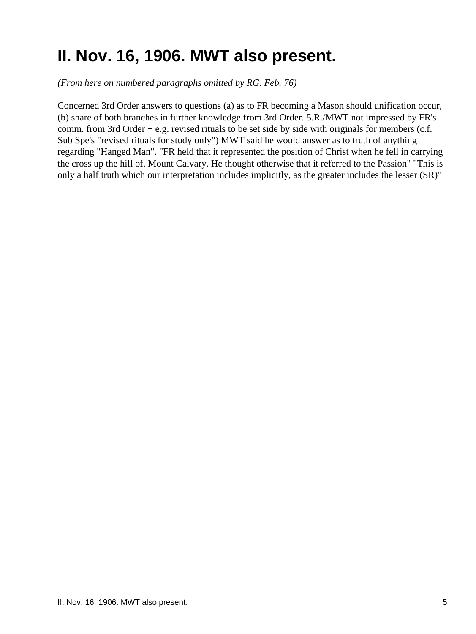## <span id="page-7-0"></span>**II. Nov. 16, 1906. MWT also present.**

*(From here on numbered paragraphs omitted by RG. Feb. 76)*

Concerned 3rd Order answers to questions (a) as to FR becoming a Mason should unification occur, (b) share of both branches in further knowledge from 3rd Order. 5.R./MWT not impressed by FR's comm. from 3rd Order − e.g. revised rituals to be set side by side with originals for members (c.f. Sub Spe's "revised rituals for study only") MWT said he would answer as to truth of anything regarding "Hanged Man". "FR held that it represented the position of Christ when he fell in carrying the cross up the hill of. Mount Calvary. He thought otherwise that it referred to the Passion" "This is only a half truth which our interpretation includes implicitly, as the greater includes the lesser (SR)"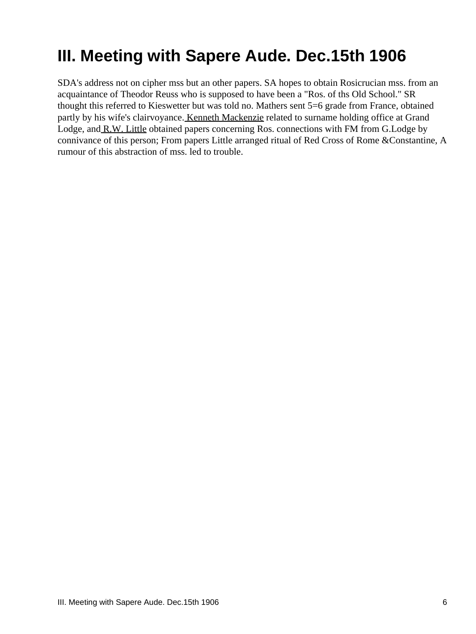## <span id="page-8-0"></span>**III. Meeting with Sapere Aude. Dec.15th 1906**

SDA's address not on cipher mss but an other papers. SA hopes to obtain Rosicrucian mss. from an acquaintance of Theodor Reuss who is supposed to have been a "Ros. of ths Old School." SR thought this referred to Kieswetter but was told no. Mathers sent 5=6 grade from France, obtained partly by his wife's clairvoyance[. Kenneth Mackenzie](#page-46-9) related to surname holding office at Grand Lodge, and [R.W. Little](#page-46-10) obtained papers concerning Ros. connections with FM from G.Lodge by connivance of this person; From papers Little arranged ritual of Red Cross of Rome &Constantine, A rumour of this abstraction of mss. led to trouble.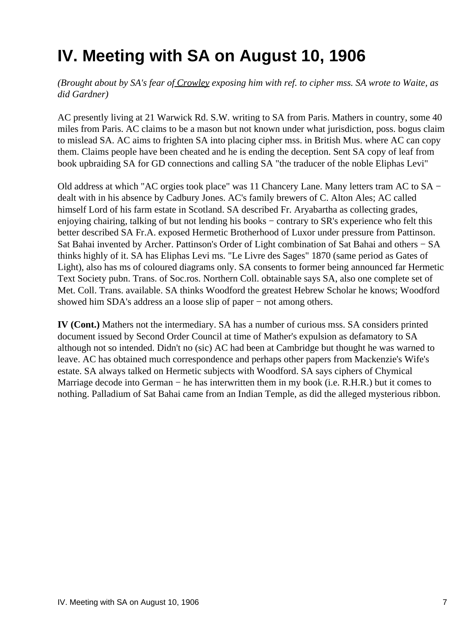## <span id="page-9-0"></span>**IV. Meeting with SA on August 10, 1906**

*(Brought about by SA's fear o[f Crowley](#page-47-0) exposing him with ref. to cipher mss. SA wrote to Waite, as did Gardner)*

AC presently living at 21 Warwick Rd. S.W. writing to SA from Paris. Mathers in country, some 40 miles from Paris. AC claims to be a mason but not known under what jurisdiction, poss. bogus claim to mislead SA. AC aims to frighten SA into placing cipher mss. in British Mus. where AC can copy them. Claims people have been cheated and he is ending the deception. Sent SA copy of leaf from book upbraiding SA for GD connections and calling SA "the traducer of the noble Eliphas Levi"

Old address at which "AC orgies took place" was 11 Chancery Lane. Many letters tram AC to SA − dealt with in his absence by Cadbury Jones. AC's family brewers of C. Alton Ales; AC called himself Lord of his farm estate in Scotland. SA described Fr. Aryabartha as collecting grades, enjoying chairing, talking of but not lending his books − contrary to SR's experience who felt this better described SA Fr.A. exposed Hermetic Brotherhood of Luxor under pressure from Pattinson. Sat Bahai invented by Archer. Pattinson's Order of Light combination of Sat Bahai and others − SA thinks highly of it. SA has Eliphas Levi ms. "Le Livre des Sages" 1870 (same period as Gates of Light), also has ms of coloured diagrams only. SA consents to former being announced far Hermetic Text Society pubn. Trans. of Soc.ros. Northern Coll. obtainable says SA, also one complete set of Met. Coll. Trans. available. SA thinks Woodford the greatest Hebrew Scholar he knows; Woodford showed him SDA's address an a loose slip of paper − not among others.

**IV (Cont.)** Mathers not the intermediary. SA has a number of curious mss. SA considers printed document issued by Second Order Council at time of Mather's expulsion as defamatory to SA although not so intended. Didn't no (sic) AC had been at Cambridge but thought he was warned to leave. AC has obtained much correspondence and perhaps other papers from Mackenzie's Wife's estate. SA always talked on Hermetic subjects with Woodford. SA says ciphers of Chymical Marriage decode into German − he has interwritten them in my book (i.e. R.H.R.) but it comes to nothing. Palladium of Sat Bahai came from an Indian Temple, as did the alleged mysterious ribbon.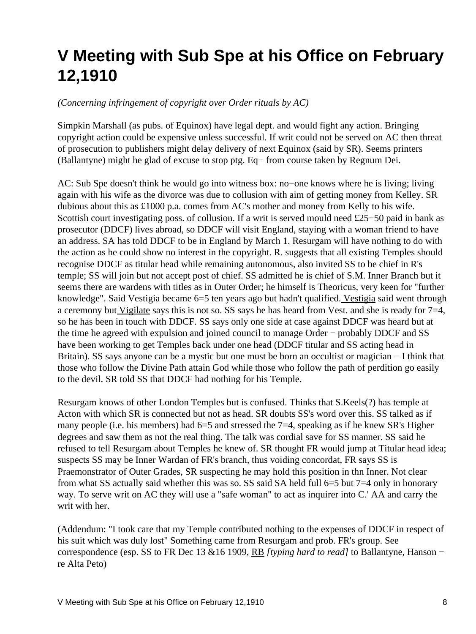## <span id="page-10-0"></span>**V Meeting with Sub Spe at his Office on February 12,1910**

#### *(Concerning infringement of copyright over Order rituals by AC)*

Simpkin Marshall (as pubs. of Equinox) have legal dept. and would fight any action. Bringing copyright action could be expensive unless successful. If writ could not be served on AC then threat of prosecution to publishers might delay delivery of next Equinox (said by SR). Seems printers (Ballantyne) might he glad of excuse to stop ptg. Eq− from course taken by Regnum Dei.

AC: Sub Spe doesn't think he would go into witness box: no−one knows where he is living; living again with his wife as the divorce was due to collusion with aim of getting money from Kelley. SR dubious about this as £1000 p.a. comes from AC's mother and money from Kelly to his wife. Scottish court investigating poss. of collusion. If a writ is served mould need £25−50 paid in bank as prosecutor (DDCF) lives abroad, so DDCF will visit England, staying with a woman friend to have an address. SA has told DDCF to be in England by March 1. [Resurgam](#page-47-1) will have nothing to do with the action as he could show no interest in the copyright. R. suggests that all existing Temples should recognise DDCF as titular head while remaining autonomous, also invited SS to be chief in R's temple; SS will join but not accept post of chief. SS admitted he is chief of S.M. Inner Branch but it seems there are wardens with titles as in Outer Order; he himself is Theoricus, very keen for "further knowledge". Said Vestigia became 6=5 ten years ago but hadn't qualified[. Vestigia](#page-47-2) said went through a ceremony but [Vigilate](#page-47-3) says this is not so. SS says he has heard from Vest. and she is ready for 7=4, so he has been in touch with DDCF. SS says only one side at case against DDCF was heard but at the time he agreed with expulsion and joined council to manage Order − probably DDCF and SS have been working to get Temples back under one head (DDCF titular and SS acting head in Britain). SS says anyone can be a mystic but one must be born an occultist or magician − I think that those who follow the Divine Path attain God while those who follow the path of perdition go easily to the devil. SR told SS that DDCF had nothing for his Temple.

Resurgam knows of other London Temples but is confused. Thinks that S.Keels(?) has temple at Acton with which SR is connected but not as head. SR doubts SS's word over this. SS talked as if many people (i.e. his members) had  $6=5$  and stressed the  $7=4$ , speaking as if he knew SR's Higher degrees and saw them as not the real thing. The talk was cordial save for SS manner. SS said he refused to tell Resurgam about Temples he knew of. SR thought FR would jump at Titular head idea; suspects SS may be Inner Wardan of FR's branch, thus voiding concordat, FR says SS is Praemonstrator of Outer Grades, SR suspecting he may hold this position in thn Inner. Not clear from what SS actually said whether this was so. SS said SA held full 6=5 but 7=4 only in honorary way. To serve writ on AC they will use a "safe woman" to act as inquirer into C.' AA and carry the writ with her.

(Addendum: "I took care that my Temple contributed nothing to the expenses of DDCF in respect of his suit which was duly lost" Something came from Resurgam and prob. FR's group. See correspondence (esp. SS to FR Dec 13 &16 1909, RB *[typing hard to read]* to Ballantyne, Hanson − re Alta Peto)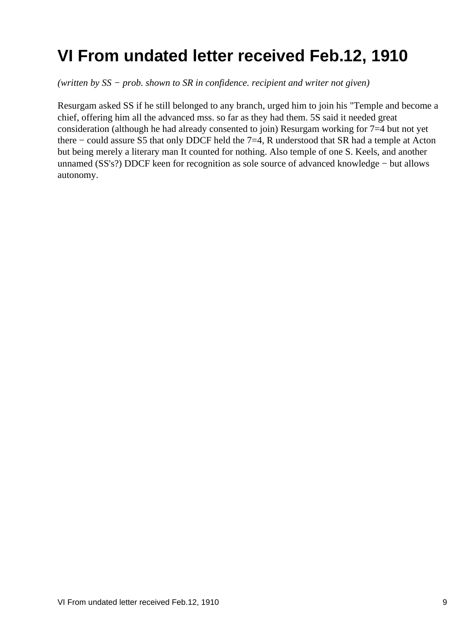## <span id="page-11-0"></span>**VI From undated letter received Feb.12, 1910**

*(written by SS − prob. shown to SR in confidence. recipient and writer not given)*

Resurgam asked SS if he still belonged to any branch, urged him to join his "Temple and become a chief, offering him all the advanced mss. so far as they had them. 5S said it needed great consideration (although he had already consented to join) Resurgam working for 7=4 but not yet there − could assure S5 that only DDCF held the 7=4, R understood that SR had a temple at Acton but being merely a literary man It counted for nothing. Also temple of one S. Keels, and another unnamed (SS's?) DDCF keen for recognition as sole source of advanced knowledge − but allows autonomy.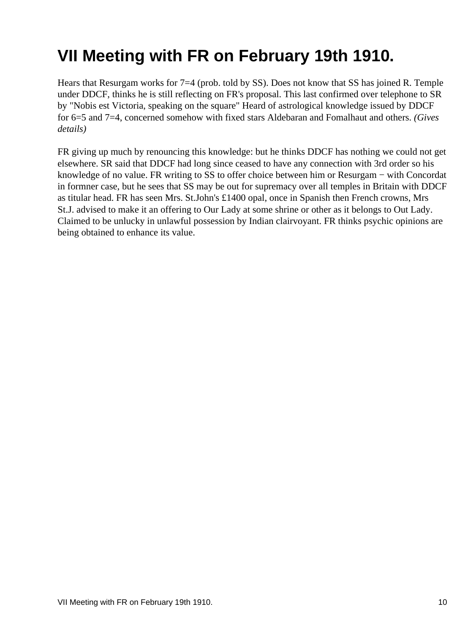## <span id="page-12-0"></span>**VII Meeting with FR on February 19th 1910.**

Hears that Resurgam works for 7=4 (prob. told by SS). Does not know that SS has joined R. Temple under DDCF, thinks he is still reflecting on FR's proposal. This last confirmed over telephone to SR by "Nobis est Victoria, speaking on the square" Heard of astrological knowledge issued by DDCF for 6=5 and 7=4, concerned somehow with fixed stars Aldebaran and Fomalhaut and others. *(Gives details)*

FR giving up much by renouncing this knowledge: but he thinks DDCF has nothing we could not get elsewhere. SR said that DDCF had long since ceased to have any connection with 3rd order so his knowledge of no value. FR writing to SS to offer choice between him or Resurgam − with Concordat in formner case, but he sees that SS may be out for supremacy over all temples in Britain with DDCF as titular head. FR has seen Mrs. St.John's £1400 opal, once in Spanish then French crowns, Mrs St.J. advised to make it an offering to Our Lady at some shrine or other as it belongs to Out Lady. Claimed to be unlucky in unlawful possession by Indian clairvoyant. FR thinks psychic opinions are being obtained to enhance its value.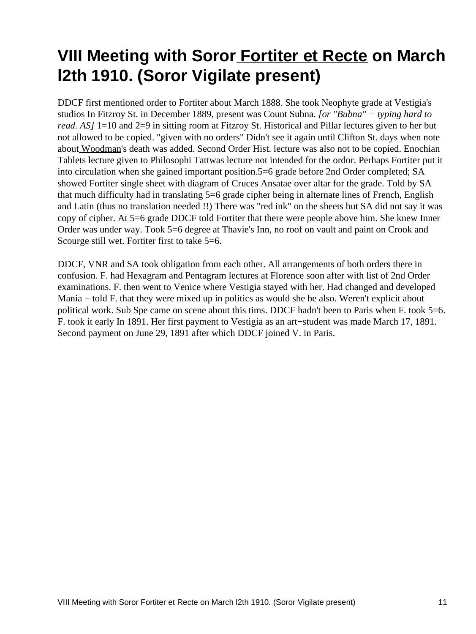#### <span id="page-13-0"></span>**VIII Meeting with Soror [Fortiter et Recte](#page-47-4) on March l2th 1910. (Soror Vigilate present)**

DDCF first mentioned order to Fortiter about March 1888. She took Neophyte grade at Vestigia's studios In Fitzroy St. in December 1889, present was Count Subna. *[or "Bubna" − typing hard to read. AS]* 1=10 and 2=9 in sitting room at Fitzroy St. Historical and Pillar lectures given to her but not allowed to be copied. "given with no orders" Didn't see it again until Clifton St. days when note about [Woodman](#page-47-5)'s death was added. Second Order Hist. lecture was also not to be copied. Enochian Tablets lecture given to Philosophi Tattwas lecture not intended for the ordor. Perhaps Fortiter put it into circulation when she gained important position.5=6 grade before 2nd Order completed; SA showed Fortiter single sheet with diagram of Cruces Ansatae over altar for the grade. Told by SA that much difficulty had in translating 5=6 grade cipher being in alternate lines of French, English and Latin (thus no translation needed !!) There was "red ink" on the sheets but SA did not say it was copy of cipher. At 5=6 grade DDCF told Fortiter that there were people above him. She knew Inner Order was under way. Took 5=6 degree at Thavie's Inn, no roof on vault and paint on Crook and Scourge still wet. Fortiter first to take 5=6.

DDCF, VNR and SA took obligation from each other. All arrangements of both orders there in confusion. F. had Hexagram and Pentagram lectures at Florence soon after with list of 2nd Order examinations. F. then went to Venice where Vestigia stayed with her. Had changed and developed Mania − told F. that they were mixed up in politics as would she be also. Weren't explicit about political work. Sub Spe came on scene about this tims. DDCF hadn't been to Paris when F. took 5=6. F. took it early In 1891. Her first payment to Vestigia as an art−student was made March 17, 1891. Second payment on June 29, 1891 after which DDCF joined V. in Paris.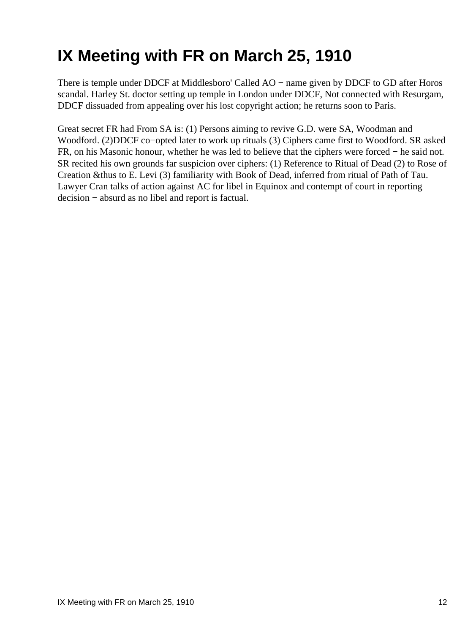# <span id="page-14-0"></span>**IX Meeting with FR on March 25, 1910**

There is temple under DDCF at Middlesboro' Called AO − name given by DDCF to GD after Horos scandal. Harley St. doctor setting up temple in London under DDCF, Not connected with Resurgam, DDCF dissuaded from appealing over his lost copyright action; he returns soon to Paris.

Great secret FR had From SA is: (1) Persons aiming to revive G.D. were SA, Woodman and Woodford. (2)DDCF co−opted later to work up rituals (3) Ciphers came first to Woodford. SR asked FR, on his Masonic honour, whether he was led to believe that the ciphers were forced − he said not. SR recited his own grounds far suspicion over ciphers: (1) Reference to Ritual of Dead (2) to Rose of Creation &thus to E. Levi (3) familiarity with Book of Dead, inferred from ritual of Path of Tau. Lawyer Cran talks of action against AC for libel in Equinox and contempt of court in reporting decision − absurd as no libel and report is factual.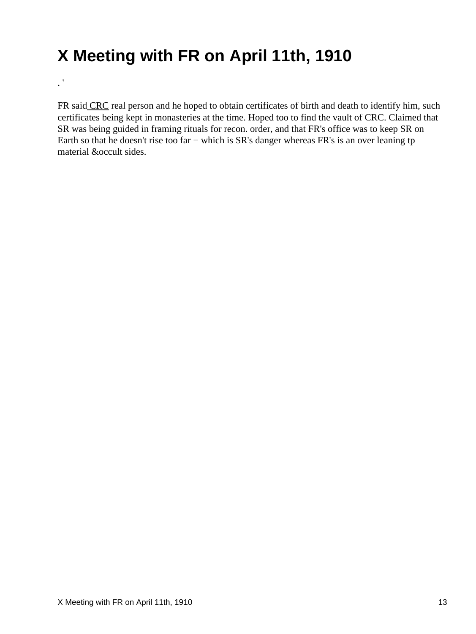## <span id="page-15-0"></span>**X Meeting with FR on April 11th, 1910**

 $\mathbf{.}^{\mathbf{.}i}$ 

FR sai[d CRC](#page-47-6) real person and he hoped to obtain certificates of birth and death to identify him, such certificates being kept in monasteries at the time. Hoped too to find the vault of CRC. Claimed that SR was being guided in framing rituals for recon. order, and that FR's office was to keep SR on Earth so that he doesn't rise too far − which is SR's danger whereas FR's is an over leaning tp material &occult sides.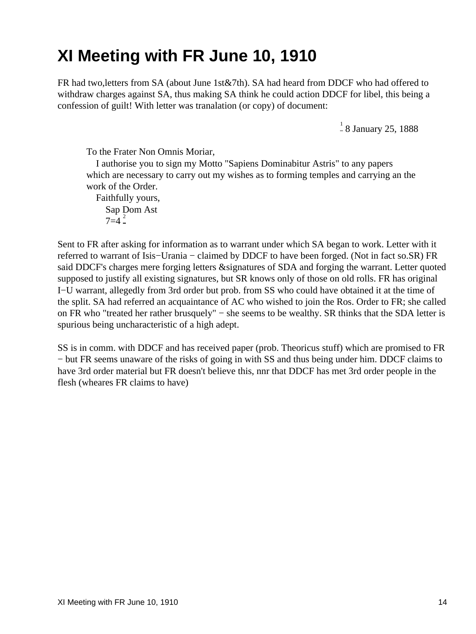#### <span id="page-16-0"></span>**XI Meeting with FR June 10, 1910**

FR had two,letters from SA (about June 1st&7th). SA had heard from DDCF who had offered to withdraw charges against SA, thus making SA think he could action DDCF for libel, this being a confession of guilt! With letter was tranalation (or copy) of document:

<sup>[1](#page-45-1)</sup> 8 January 25, 1888

To the Frater Non Omnis Moriar,

 I authorise you to sign my Motto "Sapiens Dominabitur Astris" to any papers which are necessary to carry out my wishes as to forming temples and carrying an the work of the Order.

 Faithfully yours, Sap Dom Ast  $7=4^{2}$  $7=4^{2}$  $7=4^{2}$ 

Sent to FR after asking for information as to warrant under which SA began to work. Letter with it referred to warrant of Isis−Urania − claimed by DDCF to have been forged. (Not in fact so.SR) FR said DDCF's charges mere forging letters &signatures of SDA and forging the warrant. Letter quoted supposed to justify all existing signatures, but SR knows only of those on old rolls. FR has original I−U warrant, allegedly from 3rd order but prob. from SS who could have obtained it at the time of the split. SA had referred an acquaintance of AC who wished to join the Ros. Order to FR; she called on FR who "treated her rather brusquely" – she seems to be wealthy. SR thinks that the SDA letter is spurious being uncharacteristic of a high adept.

SS is in comm. with DDCF and has received paper (prob. Theoricus stuff) which are promised to FR − but FR seems unaware of the risks of going in with SS and thus being under him. DDCF claims to have 3rd order material but FR doesn't believe this, nnr that DDCF has met 3rd order people in the flesh (wheares FR claims to have)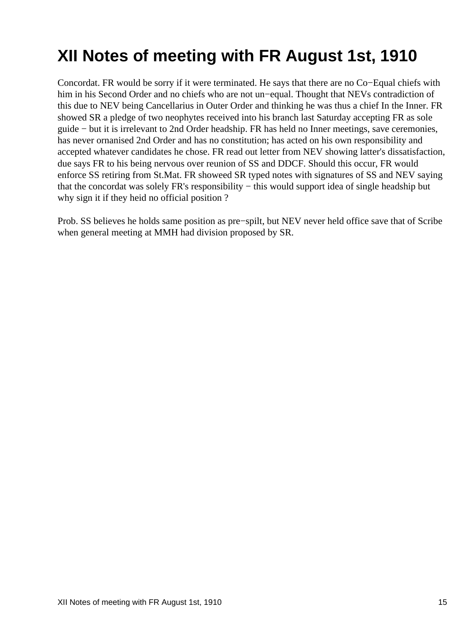## <span id="page-17-0"></span>**XII Notes of meeting with FR August 1st, 1910**

Concordat. FR would be sorry if it were terminated. He says that there are no Co−Equal chiefs with him in his Second Order and no chiefs who are not un−equal. Thought that NEVs contradiction of this due to NEV being Cancellarius in Outer Order and thinking he was thus a chief In the Inner. FR showed SR a pledge of two neophytes received into his branch last Saturday accepting FR as sole guide − but it is irrelevant to 2nd Order headship. FR has held no Inner meetings, save ceremonies, has never ornanised 2nd Order and has no constitution; has acted on his own responsibility and accepted whatever candidates he chose. FR read out letter from NEV showing latter's dissatisfaction, due says FR to his being nervous over reunion of SS and DDCF. Should this occur, FR would enforce SS retiring from St.Mat. FR showeed SR typed notes with signatures of SS and NEV saying that the concordat was solely FR's responsibility − this would support idea of single headship but why sign it if they heid no official position ?

Prob. SS believes he holds same position as pre−spilt, but NEV never held office save that of Scribe when general meeting at MMH had division proposed by SR.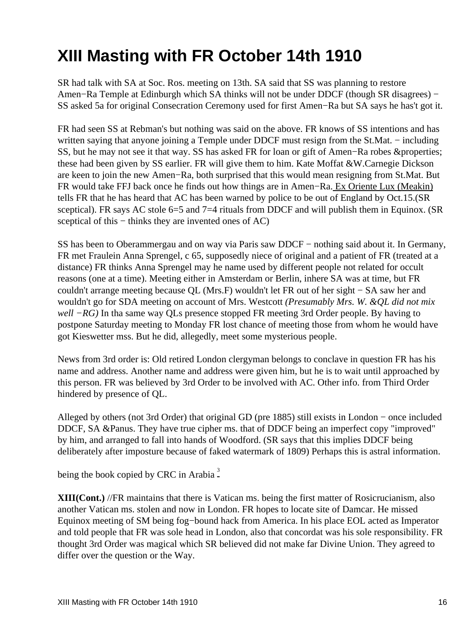## <span id="page-18-0"></span>**XIII Masting with FR October 14th 1910**

SR had talk with SA at Soc. Ros. meeting on 13th. SA said that SS was planning to restore Amen−Ra Temple at Edinburgh which SA thinks will not be under DDCF (though SR disagrees) − SS asked 5a for original Consecration Ceremony used for first Amen−Ra but SA says he has't got it.

FR had seen SS at Rebman's but nothing was said on the above. FR knows of SS intentions and has written saying that anyone joining a Temple under DDCF must resign from the St.Mat. – including SS, but he may not see it that way. SS has asked FR for loan or gift of Amen−Ra robes &properties; these had been given by SS earlier. FR will give them to him. Kate Moffat &W.Carnegie Dickson are keen to join the new Amen−Ra, both surprised that this would mean resigning from St.Mat. But FR would take FFJ back once he finds out how things are in Amen−Ra[. Ex Oriente Lux \(Meakin\)](#page-47-7) tells FR that he has heard that AC has been warned by police to be out of England by Oct.15.(SR sceptical). FR says AC stole 6–5 and 7–4 rituals from DDCF and will publish them in Equinox. (SR sceptical of this – thinks they are invented ones of AC)

SS has been to Oberammergau and on way via Paris saw DDCF – nothing said about it. In Germany, FR met Fraulein Anna Sprengel, c 65, supposedly niece of original and a patient of FR (treated at a distance) FR thinks Anna Sprengel may he name used by different people not related for occult reasons (one at a time). Meeting either in Amsterdam or Berlin, inhere SA was at time, but FR couldn't arrange meeting because QL (Mrs.F) wouldn't let FR out of her sight − SA saw her and wouldn't go for SDA meeting on account of Mrs. Westcott *(Presumably Mrs. W. &QL did not mix well* −RG) In tha same way QLs presence stopped FR meeting 3rd Order people. By having to postpone Saturday meeting to Monday FR lost chance of meeting those from whom he would have got Kieswetter mss. But he did, allegedly, meet some mysterious people.

News from 3rd order is: Old retired London clergyman belongs to conclave in question FR has his name and address. Another name and address were given him, but he is to wait until approached by this person. FR was believed by 3rd Order to be involved with AC. Other info. from Third Order hindered by presence of QL.

Alleged by others (not 3rd Order) that original GD (pre 1885) still exists in London − once included DDCF, SA &Panus. They have true cipher ms. that of DDCF being an imperfect copy "improved" by him, and arranged to fall into hands of Woodford. (SR says that this implies DDCF being deliberately after imposture because of faked watermark of 1809) Perhaps this is astral information.

being the book copied by CRC in Arabia<sup>[3](#page-45-3)</sup>

**XIII(Cont.)** //FR maintains that there is Vatican ms. being the first matter of Rosicrucianism, also another Vatican ms. stolen and now in London. FR hopes to locate site of Damcar. He missed Equinox meeting of SM being fog−bound hack from America. In his place EOL acted as Imperator and told people that FR was sole head in London, also that concordat was his sole responsibility. FR thought 3rd Order was magical which SR believed did not make far Divine Union. They agreed to differ over the question or the Way.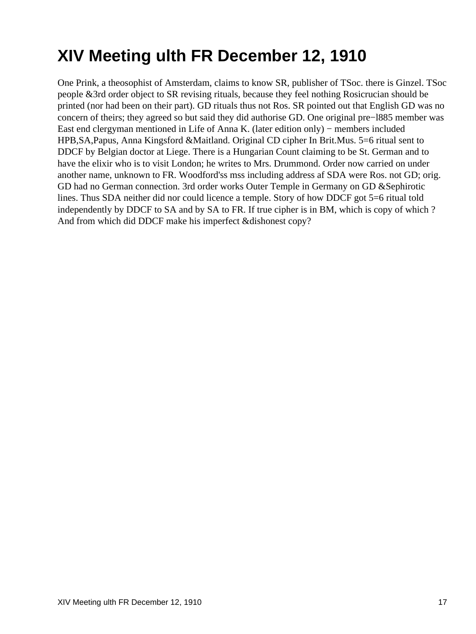## <span id="page-19-0"></span>**XIV Meeting ulth FR December 12, 1910**

One Prink, a theosophist of Amsterdam, claims to know SR, publisher of TSoc. there is Ginzel. TSoc people &3rd order object to SR revising rituals, because they feel nothing Rosicrucian should be printed (nor had been on their part). GD rituals thus not Ros. SR pointed out that English GD was no concern of theirs; they agreed so but said they did authorise GD. One original pre−l885 member was East end clergyman mentioned in Life of Anna K. (later edition only) − members included HPB,SA,Papus, Anna Kingsford &Maitland. Original CD cipher In Brit.Mus. 5=6 ritual sent to DDCF by Belgian doctor at Liege. There is a Hungarian Count claiming to be St. German and to have the elixir who is to visit London; he writes to Mrs. Drummond. Order now carried on under another name, unknown to FR. Woodford'ss mss including address af SDA were Ros. not GD; orig. GD had no German connection. 3rd order works Outer Temple in Germany on GD &Sephirotic lines. Thus SDA neither did nor could licence a temple. Story of how DDCF got 5=6 ritual told independently by DDCF to SA and by SA to FR. If true cipher is in BM, which is copy of which ? And from which did DDCF make his imperfect &dishonest copy?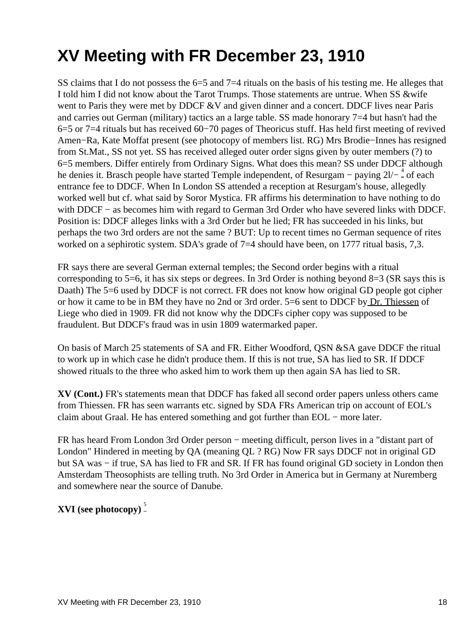## <span id="page-20-0"></span>**XV Meeting with FR December 23, 1910**

SS claims that I do not possess the 6=5 and 7=4 rituals on the basis of his testing me. He alleges that I told him I did not know about the Tarot Trumps. Those statements are untrue. When SS &wife went to Paris they were met by DDCF &V and given dinner and a concert. DDCF lives near Paris and carries out German (military) tactics an a large table. SS made honorary 7=4 but hasn't had the 6=5 or 7=4 rituals but has received 60−70 pages of Theoricus stuff. Has held first meeting of revived Amen−Ra, Kate Moffat present (see photocopy of members list. RG) Mrs Brodie−Innes has resigned from St.Mat., SS not yet. SS has received alleged outer order signs given by outer members (?) to 6=5 members. Differ entirely from Ordinary Signs. What does this mean? SS under DDCF although he denies it. Brasch people have started Temple independent, of Resurgam – paying 2l/− [4](#page-45-4) of each entrance fee to DDCF. When In London SS attended a reception at Resurgam's house, allegedly worked well but cf. what said by Soror Mystica. FR affirms his determination to have nothing to do with DDCF – as becomes him with regard to German 3rd Order who have severed links with DDCF. Position is: DDCF alleges links with a 3rd Order but he lied; FR has succeeded in his links, but perhaps the two 3rd orders are not the same ? BUT: Up to recent times no German sequence of rites worked on a sephirotic system. SDA's grade of 7=4 should have been, on 1777 ritual basis, 7,3.

FR says there are several German external temples; the Second order begins with a ritual corresponding to 5=6, it has six steps or degrees. In 3rd Order is nothing beyond  $8=3$  (SR says this is Daath) The 5=6 used by DDCF is not correct. FR does not know how original GD people got cipher or how it came to be in BM they have no 2nd or 3rd order. 5=6 sent to DDCF b[y Dr. Thiessen](#page-48-0) of Liege who died in 1909. FR did not know why the DDCFs cipher copy was supposed to be fraudulent. But DDCF's fraud was in usin 1809 watermarked paper.

On basis of March 25 statements of SA and FR. Either Woodford, QSN &SA gave DDCF the ritual to work up in which case he didn't produce them. If this is not true, SA has lied to SR. If DDCF showed rituals to the three who asked him to work them up then again SA has lied to SR.

**XV (Cont.)** FR's statements mean that DDCF has faked all second order papers unless others came from Thiessen. FR has seen warrants etc. signed by SDA FRs American trip on account of EOL's claim about Graal. He has entered something and got further than EOL − more later.

FR has heard From London 3rd Order person − meeting difficult, person lives in a "distant part of London" Hindered in meeting by QA (meaning QL ? RG) Now FR says DDCF not in original GD but SA was − if true, SA has lied to FR and SR. If FR has found original GD society in London then Amsterdam Theosophists are telling truth. No 3rd Order in America but in Germany at Nuremberg and somewhere near the source of Danube.

#### **XVI** (see photocopy)<sup>[5](#page-45-5)</sup>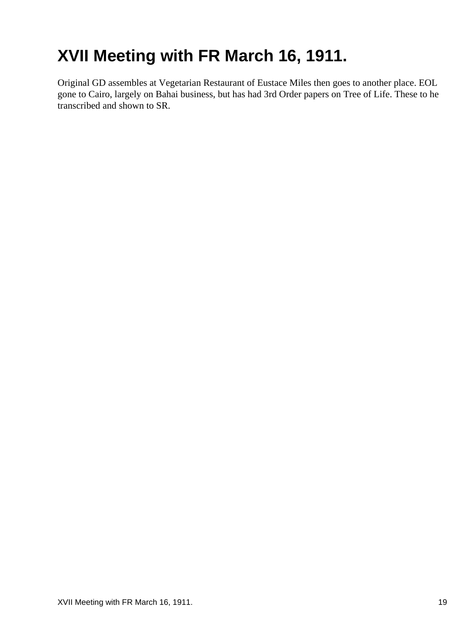## <span id="page-21-0"></span>**XVII Meeting with FR March 16, 1911.**

Original GD assembles at Vegetarian Restaurant of Eustace Miles then goes to another place. EOL gone to Cairo, largely on Bahai business, but has had 3rd Order papers on Tree of Life. These to he transcribed and shown to SR.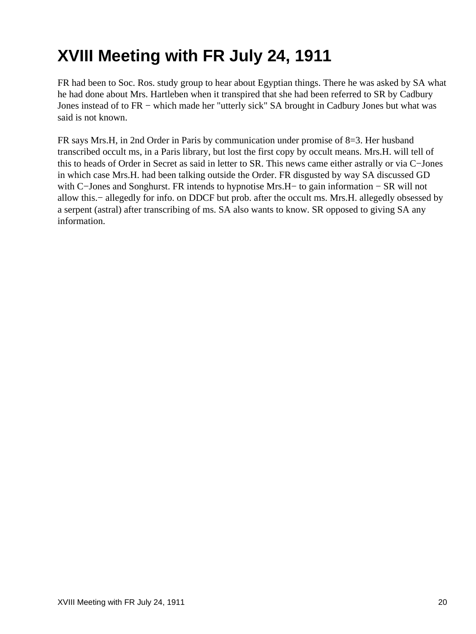# <span id="page-22-0"></span>**XVIII Meeting with FR July 24, 1911**

FR had been to Soc. Ros. study group to hear about Egyptian things. There he was asked by SA what he had done about Mrs. Hartleben when it transpired that she had been referred to SR by Cadbury Jones instead of to FR − which made her "utterly sick" SA brought in Cadbury Jones but what was said is not known.

FR says Mrs.H, in 2nd Order in Paris by communication under promise of 8=3. Her husband transcribed occult ms, in a Paris library, but lost the first copy by occult means. Mrs.H. will tell of this to heads of Order in Secret as said in letter to SR. This news came either astrally or via C−Jones in which case Mrs.H. had been talking outside the Order. FR disgusted by way SA discussed GD with C−Jones and Songhurst. FR intends to hypnotise Mrs.H− to gain information − SR will not allow this.− allegedly for info. on DDCF but prob. after the occult ms. Mrs.H. allegedly obsessed by a serpent (astral) after transcribing of ms. SA also wants to know. SR opposed to giving SA any information.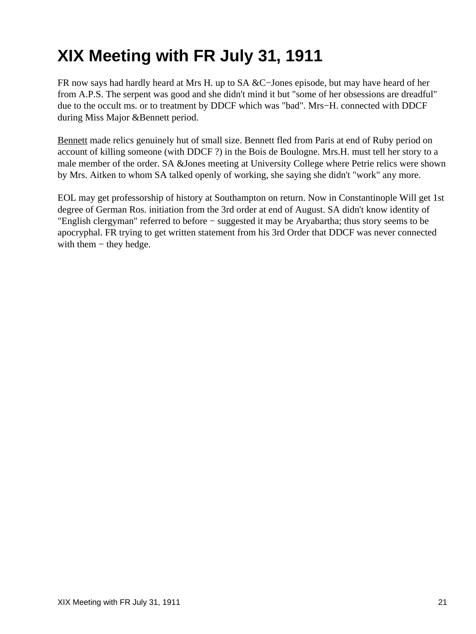# <span id="page-23-0"></span>**XIX Meeting with FR July 31, 1911**

FR now says had hardly heard at Mrs H. up to SA &C−Jones episode, but may have heard of her from A.P.S. The serpent was good and she didn't mind it but "some of her obsessions are dreadful" due to the occult ms. or to treatment by DDCF which was "bad". Mrs−H. connected with DDCF during Miss Major &Bennett period.

[Bennett](#page-47-8) made relics genuinely hut of small size. Bennett fled from Paris at end of Ruby period on account of killing someone (with DDCF ?) in the Bois de Boulogne. Mrs.H. must tell her story to a male member of the order. SA &Jones meeting at University College where Petrie relics were shown by Mrs. Aitken to whom SA talked openly of working, she saying she didn't "work" any more.

EOL may get professorship of history at Southampton on return. Now in Constantinople Will get 1st degree of German Ros. initiation from the 3rd order at end of August. SA didn't know identity of "English clergyman" referred to before − suggested it may be Aryabartha; thus story seems to be apocryphal. FR trying to get written statement from his 3rd Order that DDCF was never connected with them – they hedge.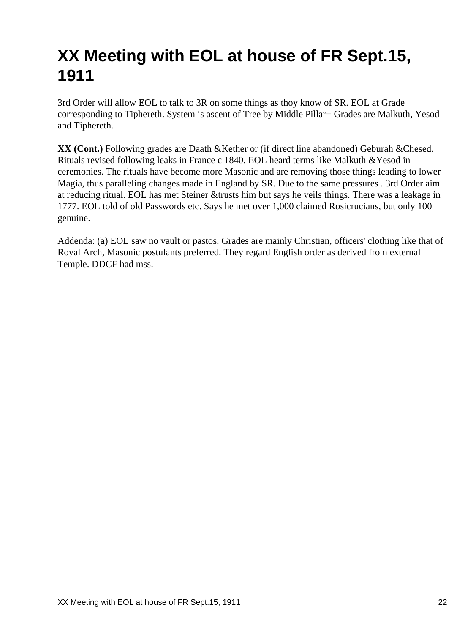## <span id="page-24-0"></span>**XX Meeting with EOL at house of FR Sept.15, 1911**

3rd Order will allow EOL to talk to 3R on some things as thoy know of SR. EOL at Grade corresponding to Tiphereth. System is ascent of Tree by Middle Pillar− Grades are Malkuth, Yesod and Tiphereth.

**XX (Cont.)** Following grades are Daath &Kether or (if direct line abandoned) Geburah &Chesed. Rituals revised following leaks in France c 1840. EOL heard terms like Malkuth &Yesod in ceremonies. The rituals have become more Masonic and are removing those things leading to lower Magia, thus paralleling changes made in England by SR. Due to the same pressures . 3rd Order aim at reducing ritual. EOL has me[t Steiner](#page-47-9) &trusts him but says he veils things. There was a leakage in 1777. EOL told of old Passwords etc. Says he met over 1,000 claimed Rosicrucians, but only 100 genuine.

Addenda: (a) EOL saw no vault or pastos. Grades are mainly Christian, officers' clothing like that of Royal Arch, Masonic postulants preferred. They regard English order as derived from external Temple. DDCF had mss.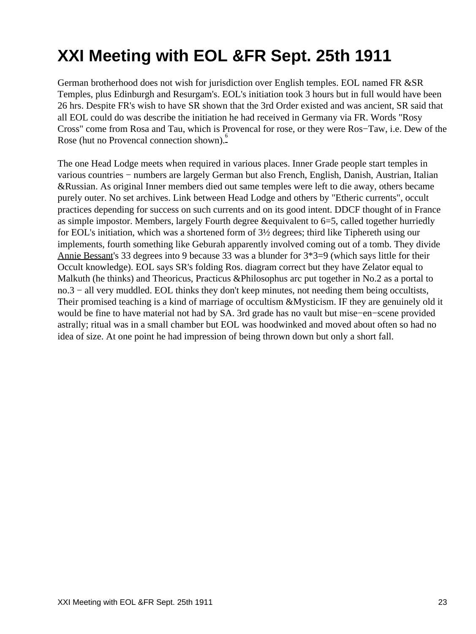# <span id="page-25-0"></span>**XXI Meeting with EOL &FR Sept. 25th 1911**

German brotherhood does not wish for jurisdiction over English temples. EOL named FR &SR Temples, plus Edinburgh and Resurgam's. EOL's initiation took 3 hours but in full would have been 26 hrs. Despite FR's wish to have SR shown that the 3rd Order existed and was ancient, SR said that all EOL could do was describe the initiation he had received in Germany via FR. Words "Rosy Cross" come from Rosa and Tau, which is Provencal for rose, or they were Ros−Taw, i.e. Dew of the Rose (hut no Provencal connection shown).

The one Head Lodge meets when required in various places. Inner Grade people start temples in various countries − numbers are largely German but also French, English, Danish, Austrian, Italian &Russian. As original Inner members died out same temples were left to die away, others became purely outer. No set archives. Link between Head Lodge and others by "Etheric currents", occult practices depending for success on such currents and on its good intent. DDCF thought of in France as simple impostor. Members, largely Fourth degree &equivalent to 6=5, called together hurriedly for EOL's initiation, which was a shortened form of 3½ degrees; third like Tiphereth using our implements, fourth something like Geburah apparently involved coming out of a tomb. They divide [Annie Bessant](#page-48-1)'s 33 degrees into 9 because 33 was a blunder for 3\*3=9 (which says little for their Occult knowledge). EOL says SR's folding Ros. diagram correct but they have Zelator equal to Malkuth (he thinks) and Theoricus, Practicus &Philosophus arc put together in No.2 as a portal to no.3 – all very muddled. EOL thinks they don't keep minutes, not needing them being occultists, Their promised teaching is a kind of marriage of occultism &Mysticism. IF they are genuinely old it would be fine to have material not had by SA. 3rd grade has no vault but mise−en−scene provided astrally; ritual was in a small chamber but EOL was hoodwinked and moved about often so had no idea of size. At one point he had impression of being thrown down but only a short fall.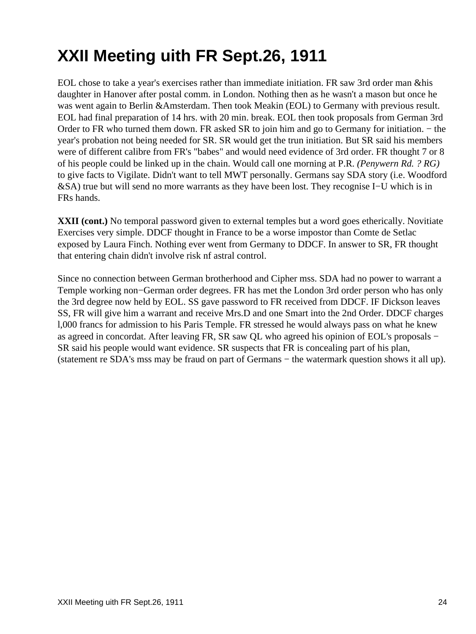# <span id="page-26-0"></span>**XXII Meeting uith FR Sept.26, 1911**

EOL chose to take a year's exercises rather than immediate initiation. FR saw 3rd order man &his daughter in Hanover after postal comm. in London. Nothing then as he wasn't a mason but once he was went again to Berlin &Amsterdam. Then took Meakin (EOL) to Germany with previous result. EOL had final preparation of 14 hrs. with 20 min. break. EOL then took proposals from German 3rd Order to FR who turned them down. FR asked SR to join him and go to Germany for initiation. − the year's probation not being needed for SR. SR would get the trun initiation. But SR said his members were of different calibre from FR's "babes" and would need evidence of 3rd order. FR thought 7 or 8 of his people could be linked up in the chain. Would call one morning at P.R. *(Penywern Rd. ? RG)* to give facts to Vigilate. Didn't want to tell MWT personally. Germans say SDA story (i.e. Woodford &SA) true but will send no more warrants as they have been lost. They recognise I−U which is in FRs hands.

**XXII (cont.)** No temporal password given to external temples but a word goes etherically. Novitiate Exercises very simple. DDCF thought in France to be a worse impostor than Comte de Setlac exposed by Laura Finch. Nothing ever went from Germany to DDCF. In answer to SR, FR thought that entering chain didn't involve risk nf astral control.

Since no connection between German brotherhood and Cipher mss. SDA had no power to warrant a Temple working non−German order degrees. FR has met the London 3rd order person who has only the 3rd degree now held by EOL. SS gave password to FR received from DDCF. IF Dickson leaves SS, FR will give him a warrant and receive Mrs.D and one Smart into the 2nd Order. DDCF charges l,000 francs for admission to his Paris Temple. FR stressed he would always pass on what he knew as agreed in concordat. After leaving FR, SR saw QL who agreed his opinion of EOL's proposals − SR said his people would want evidence. SR suspects that FR is concealing part of his plan, (statement re SDA's mss may be fraud on part of Germans − the watermark question shows it all up).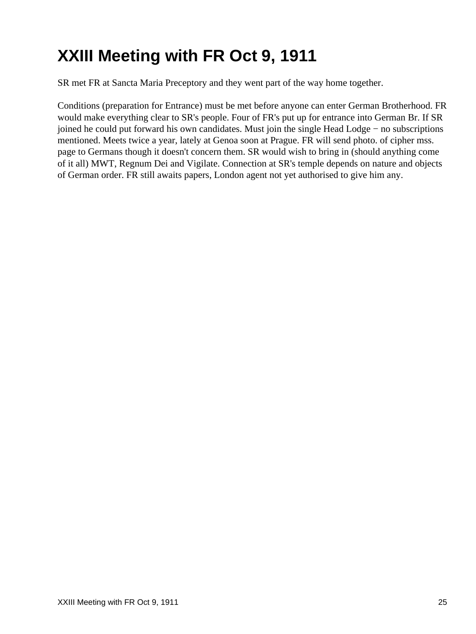## <span id="page-27-0"></span>**XXIII Meeting with FR Oct 9, 1911**

SR met FR at Sancta Maria Preceptory and they went part of the way home together.

Conditions (preparation for Entrance) must be met before anyone can enter German Brotherhood. FR would make everything clear to SR's people. Four of FR's put up for entrance into German Br. If SR joined he could put forward his own candidates. Must join the single Head Lodge − no subscriptions mentioned. Meets twice a year, lately at Genoa soon at Prague. FR will send photo. of cipher mss. page to Germans though it doesn't concern them. SR would wish to bring in (should anything come of it all) MWT, Regnum Dei and Vigilate. Connection at SR's temple depends on nature and objects of German order. FR still awaits papers, London agent not yet authorised to give him any.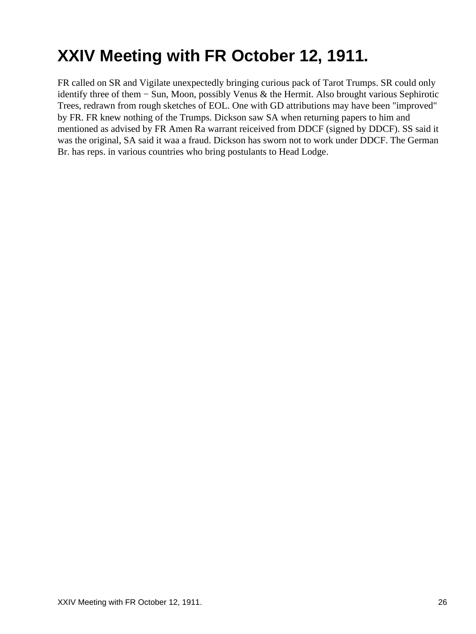## <span id="page-28-0"></span>**XXIV Meeting with FR October 12, 1911.**

FR called on SR and Vigilate unexpectedly bringing curious pack of Tarot Trumps. SR could only identify three of them − Sun, Moon, possibly Venus & the Hermit. Also brought various Sephirotic Trees, redrawn from rough sketches of EOL. One with GD attributions may have been "improved" by FR. FR knew nothing of the Trumps. Dickson saw SA when returning papers to him and mentioned as advised by FR Amen Ra warrant reiceived from DDCF (signed by DDCF). SS said it was the original, SA said it waa a fraud. Dickson has sworn not to work under DDCF. The German Br. has reps. in various countries who bring postulants to Head Lodge.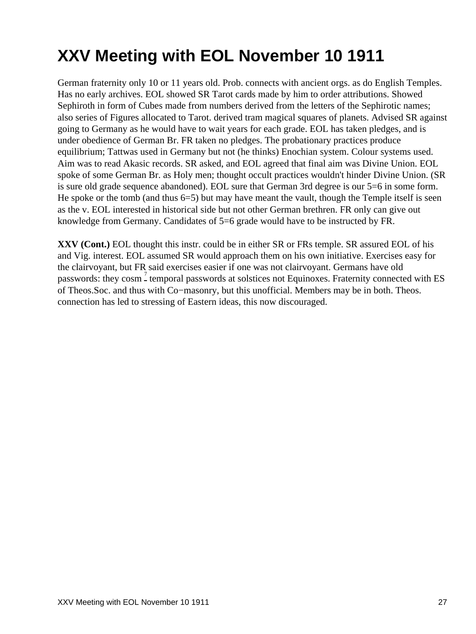## <span id="page-29-0"></span>**XXV Meeting with EOL November 10 1911**

German fraternity only 10 or 11 years old. Prob. connects with ancient orgs. as do English Temples. Has no early archives. EOL showed SR Tarot cards made by him to order attributions. Showed Sephiroth in form of Cubes made from numbers derived from the letters of the Sephirotic names; also series of Figures allocated to Tarot. derived tram magical squares of planets. Advised SR against going to Germany as he would have to wait years for each grade. EOL has taken pledges, and is under obedience of German Br. FR taken no pledges. The probationary practices produce equilibrium; Tattwas used in Germany but not (he thinks) Enochian system. Colour systems used. Aim was to read Akasic records. SR asked, and EOL agreed that final aim was Divine Union. EOL spoke of some German Br. as Holy men; thought occult practices wouldn't hinder Divine Union. (SR is sure old grade sequence abandoned). EOL sure that German 3rd degree is our 5=6 in some form. He spoke or the tomb (and thus  $6=5$ ) but may have meant the vault, though the Temple itself is seen as the v. EOL interested in historical side but not other German brethren. FR only can give out knowledge from Germany. Candidates of 5=6 grade would have to be instructed by FR.

**XXV (Cont.)** EOL thought this instr. could be in either SR or FRs temple. SR assured EOL of his and Vig. interest. EOL assumed SR would approach them on his own initiative. Exercises easy for the clairvoyant, but FR said exercises easier if one was not clairvoyant. Germans have old passwords: they cosm<sup>[7](#page-45-7)</sup> temporal passwords at solstices not Equinoxes. Fraternity connected with ES of Theos.Soc. and thus with Co−masonry, but this unofficial. Members may be in both. Theos. connection has led to stressing of Eastern ideas, this now discouraged.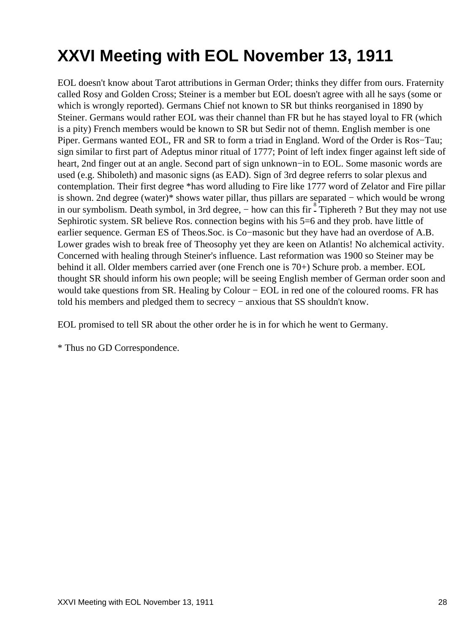# <span id="page-30-0"></span>**XXVI Meeting with EOL November 13, 1911**

EOL doesn't know about Tarot attributions in German Order; thinks they differ from ours. Fraternity called Rosy and Golden Cross; Steiner is a member but EOL doesn't agree with all he says (some or which is wrongly reported). Germans Chief not known to SR but thinks reorganised in 1890 by Steiner. Germans would rather EOL was their channel than FR but he has stayed loyal to FR (which is a pity) French members would be known to SR but Sedir not of themn. English member is one Piper. Germans wanted EOL, FR and SR to form a triad in England. Word of the Order is Ros−Tau; sign similar to first part of Adeptus minor ritual of 1777; Point of left index finger against left side of heart, 2nd finger out at an angle. Second part of sign unknown−in to EOL. Some masonic words are used (e.g. Shiboleth) and masonic signs (as EAD). Sign of 3rd degree referrs to solar plexus and contemplation. Their first degree \*has word alluding to Fire like 1777 word of Zelator and Fire pillar is shown. 2nd degree (water)\* shows water pillar, thus pillars are separated − which would be wrong in our symbolism. Death symbol, in 3rd degree, – how can this fir - Tiphereth ? But they may not use Sephirotic system. SR believe Ros. connection begins with his 5=6 and they prob. have little of earlier sequence. German ES of Theos.Soc. is Co−masonic but they have had an overdose of A.B. Lower grades wish to break free of Theosophy yet they are keen on Atlantis! No alchemical activity. Concerned with healing through Steiner's influence. Last reformation was 1900 so Steiner may be behind it all. Older members carried aver (one French one is 70+) Schure prob. a member. EOL thought SR should inform his own people; will be seeing English member of German order soon and would take questions from SR. Healing by Colour − EOL in red one of the coloured rooms. FR has told his members and pledged them to secrecy − anxious that SS shouldn't know.

EOL promised to tell SR about the other order he is in for which he went to Germany.

\* Thus no GD Correspondence.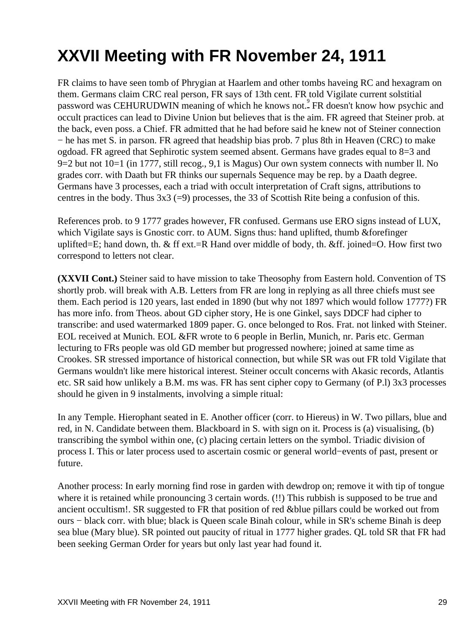## <span id="page-31-0"></span>**XXVII Meeting with FR November 24, 1911**

FR claims to have seen tomb of Phrygian at Haarlem and other tombs haveing RC and hexagram on them. Germans claim CRC real person, FR says of 13th cent. FR told Vigilate current solstitial password was CEHURUDWIN meaning of which he knows not.<sup>[9](#page-45-9)</sup> FR doesn't know how psychic and occult practices can lead to Divine Union but believes that is the aim. FR agreed that Steiner prob. at the back, even poss. a Chief. FR admitted that he had before said he knew not of Steiner connection − he has met S. in parson. FR agreed that headship bias prob. 7 plus 8th in Heaven (CRC) to make ogdoad. FR agreed that Sephirotic system seemed absent. Germans have grades equal to 8=3 and 9=2 but not 10=1 (in 1777, still recog., 9,1 is Magus) Our own system connects with number ll. No grades corr. with Daath but FR thinks our supernals Sequence may be rep. by a Daath degree. Germans have 3 processes, each a triad with occult interpretation of Craft signs, attributions to centres in the body. Thus  $3x3$  (=9) processes, the 33 of Scottish Rite being a confusion of this.

References prob. to 9 1777 grades however, FR confused. Germans use ERO signs instead of LUX, which Vigilate says is Gnostic corr. to AUM. Signs thus: hand uplifted, thumb & forefinger uplifted=E; hand down, th. & ff ext.=R Hand over middle of body, th. &ff. joined=O. How first two correspond to letters not clear.

**(XXVII Cont.)** Steiner said to have mission to take Theosophy from Eastern hold. Convention of TS shortly prob. will break with A.B. Letters from FR are long in replying as all three chiefs must see them. Each period is 120 years, last ended in 1890 (but why not 1897 which would follow 1777?) FR has more info. from Theos. about GD cipher story, He is one Ginkel, says DDCF had cipher to transcribe: and used watermarked 1809 paper. G. once belonged to Ros. Frat. not linked with Steiner. EOL received at Munich. EOL &FR wrote to 6 people in Berlin, Munich, nr. Paris etc. German lecturing to FRs people was old GD member but progressed nowhere; joined at same time as Crookes. SR stressed importance of historical connection, but while SR was out FR told Vigilate that Germans wouldn't like mere historical interest. Steiner occult concerns with Akasic records, Atlantis etc. SR said how unlikely a B.M. ms was. FR has sent cipher copy to Germany (of P.l) 3x3 processes should he given in 9 instalments, involving a simple ritual:

In any Temple. Hierophant seated in E. Another officer (corr. to Hiereus) in W. Two pillars, blue and red, in N. Candidate between them. Blackboard in S. with sign on it. Process is (a) visualising, (b) transcribing the symbol within one, (c) placing certain letters on the symbol. Triadic division of process I. This or later process used to ascertain cosmic or general world−events of past, present or future.

Another process: In early morning find rose in garden with dewdrop on; remove it with tip of tongue where it is retained while pronouncing 3 certain words. (!!) This rubbish is supposed to be true and ancient occultism!. SR suggested to FR that position of red &blue pillars could be worked out from ours − black corr. with blue; black is Queen scale Binah colour, while in SR's scheme Binah is deep sea blue (Mary blue). SR pointed out paucity of ritual in 1777 higher grades. QL told SR that FR had been seeking German Order for years but only last year had found it.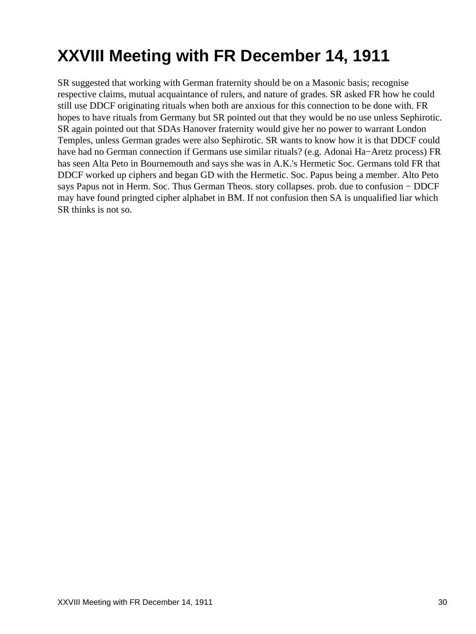## <span id="page-32-0"></span>**XXVIII Meeting with FR December 14, 1911**

SR suggested that working with German fraternity should be on a Masonic basis; recognise respective claims, mutual acquaintance of rulers, and nature of grades. SR asked FR how he could still use DDCF originating rituals when both are anxious for this connection to be done with. FR hopes to have rituals from Germany but SR pointed out that they would be no use unless Sephirotic. SR again pointed out that SDAs Hanover fraternity would give her no power to warrant London Temples, unless German grades were also Sephirotic. SR wants to know how it is that DDCF could have had no German connection if Germans use similar rituals? (e.g. Adonai Ha−Aretz process) FR has seen Alta Peto in Bournemouth and says she was in A.K.'s Hermetic Soc. Germans told FR that DDCF worked up ciphers and began GD with the Hermetic. Soc. Papus being a member. Alto Peto says Papus not in Herm. Soc. Thus German Theos. story collapses. prob. due to confusion − DDCF may have found pringted cipher alphabet in BM. If not confusion then SA is unqualified liar which SR thinks is not so.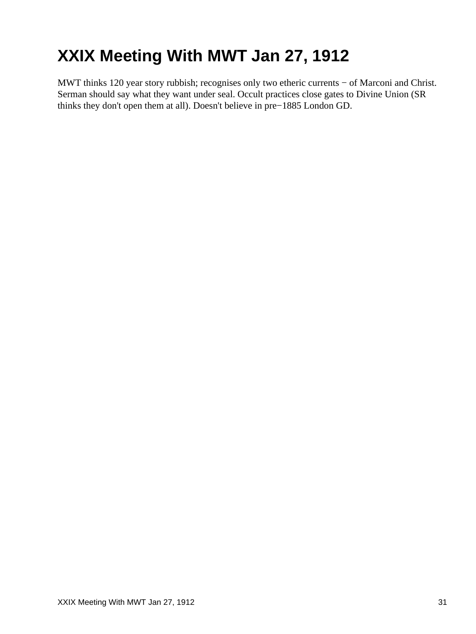# <span id="page-33-0"></span>**XXIX Meeting With MWT Jan 27, 1912**

MWT thinks 120 year story rubbish; recognises only two etheric currents − of Marconi and Christ. Serman should say what they want under seal. Occult practices close gates to Divine Union (SR thinks they don't open them at all). Doesn't believe in pre−1885 London GD.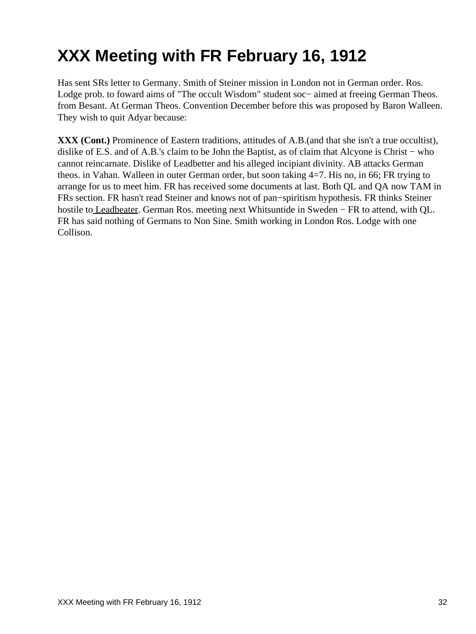# <span id="page-34-0"></span>**XXX Meeting with FR February 16, 1912**

Has sent SRs letter to Germany. Smith of Steiner mission in London not in German order. Ros. Lodge prob. to foward aims of "The occult Wisdom" student soc− aimed at freeing German Theos. from Besant. At German Theos. Convention December before this was proposed by Baron Walleen. They wish to quit Adyar because:

**XXX (Cont.)** Prominence of Eastern traditions, attitudes of A.B.(and that she isn't a true occultist), dislike of E.S. and of A.B.'s claim to be John the Baptist, as of claim that Alcyone is Christ − who cannot reincarnate. Dislike of Leadbetter and his alleged incipiant divinity. AB attacks German theos. in Vahan. Walleen in outer German order, but soon taking 4=7. His no, in 66; FR trying to arrange for us to meet him. FR has received some documents at last. Both QL and QA now TAM in FRs section. FR hasn't read Steiner and knows not of pan−spiritism hypothesis. FR thinks Steiner hostile t[o Leadbeater.](#page-48-2) German Ros. meeting next Whitsuntide in Sweden − FR to attend, with QL. FR has said nothing of Germans to Non Sine. Smith working in London Ros. Lodge with one Collison.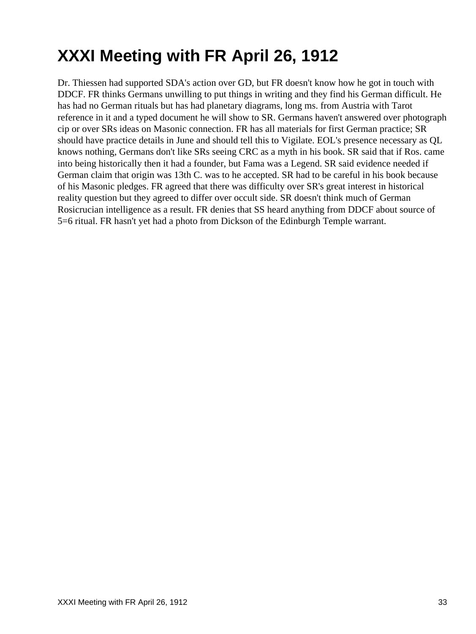# <span id="page-35-0"></span>**XXXI Meeting with FR April 26, 1912**

Dr. Thiessen had supported SDA's action over GD, but FR doesn't know how he got in touch with DDCF. FR thinks Germans unwilling to put things in writing and they find his German difficult. He has had no German rituals but has had planetary diagrams, long ms. from Austria with Tarot reference in it and a typed document he will show to SR. Germans haven't answered over photograph cip or over SRs ideas on Masonic connection. FR has all materials for first German practice; SR should have practice details in June and should tell this to Vigilate. EOL's presence necessary as QL knows nothing, Germans don't like SRs seeing CRC as a myth in his book. SR said that if Ros. came into being historically then it had a founder, but Fama was a Legend. SR said evidence needed if German claim that origin was 13th C. was to he accepted. SR had to be careful in his book because of his Masonic pledges. FR agreed that there was difficulty over SR's great interest in historical reality question but they agreed to differ over occult side. SR doesn't think much of German Rosicrucian intelligence as a result. FR denies that SS heard anything from DDCF about source of 5=6 ritual. FR hasn't yet had a photo from Dickson of the Edinburgh Temple warrant.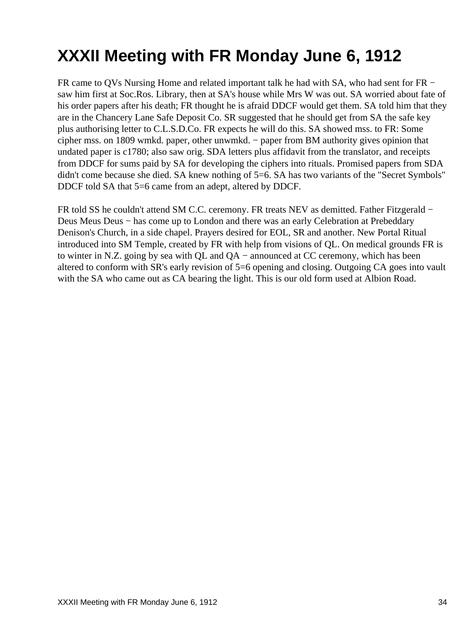## <span id="page-36-0"></span>**XXXII Meeting with FR Monday June 6, 1912**

FR came to QVs Nursing Home and related important talk he had with SA, who had sent for FR − saw him first at Soc.Ros. Library, then at SA's house while Mrs W was out. SA worried about fate of his order papers after his death; FR thought he is afraid DDCF would get them. SA told him that they are in the Chancery Lane Safe Deposit Co. SR suggested that he should get from SA the safe key plus authorising letter to C.L.S.D.Co. FR expects he will do this. SA showed mss. to FR: Some cipher mss. on 1809 wmkd. paper, other unwmkd. − paper from BM authority gives opinion that undated paper is c1780; also saw orig. SDA letters plus affidavit from the translator, and receipts from DDCF for sums paid by SA for developing the ciphers into rituals. Promised papers from SDA didn't come because she died. SA knew nothing of 5=6. SA has two variants of the "Secret Symbols" DDCF told SA that 5=6 came from an adept, altered by DDCF.

FR told SS he couldn't attend SM C.C. ceremony. FR treats NEV as demitted. Father Fitzgerald − Deus Meus Deus − has come up to London and there was an early Celebration at Prebeddary Denison's Church, in a side chapel. Prayers desired for EOL, SR and another. New Portal Ritual introduced into SM Temple, created by FR with help from visions of QL. On medical grounds FR is to winter in N.Z. going by sea with QL and QA − announced at CC ceremony, which has been altered to conform with SR's early revision of 5=6 opening and closing. Outgoing CA goes into vault with the SA who came out as CA bearing the light. This is our old form used at Albion Road.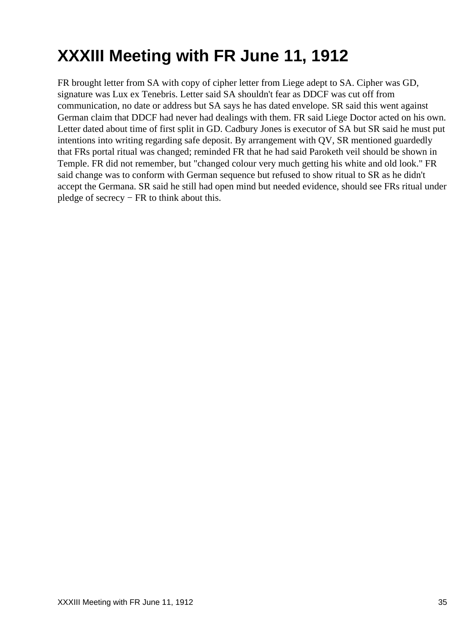# <span id="page-37-0"></span>**XXXIII Meeting with FR June 11, 1912**

FR brought letter from SA with copy of cipher letter from Liege adept to SA. Cipher was GD, signature was Lux ex Tenebris. Letter said SA shouldn't fear as DDCF was cut off from communication, no date or address but SA says he has dated envelope. SR said this went against German claim that DDCF had never had dealings with them. FR said Liege Doctor acted on his own. Letter dated about time of first split in GD. Cadbury Jones is executor of SA but SR said he must put intentions into writing regarding safe deposit. By arrangement with QV, SR mentioned guardedly that FRs portal ritual was changed; reminded FR that he had said Paroketh veil should be shown in Temple. FR did not remember, but "changed colour very much getting his white and old look." FR said change was to conform with German sequence but refused to show ritual to SR as he didn't accept the Germana. SR said he still had open mind but needed evidence, should see FRs ritual under pledge of secrecy − FR to think about this.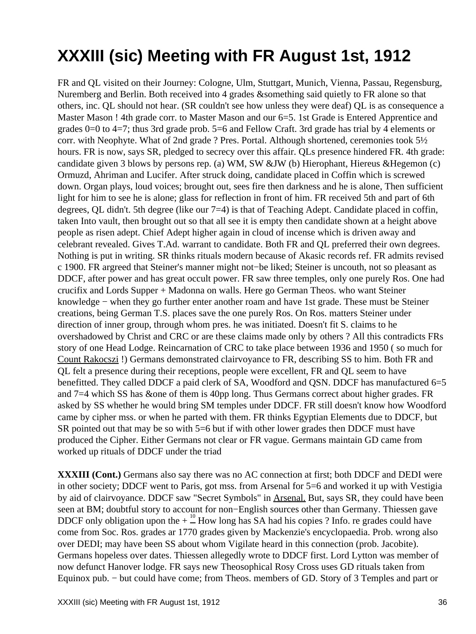## <span id="page-38-0"></span>**XXXIII (sic) Meeting with FR August 1st, 1912**

FR and QL visited on their Journey: Cologne, Ulm, Stuttgart, Munich, Vienna, Passau, Regensburg, Nuremberg and Berlin. Both received into 4 grades &something said quietly to FR alone so that others, inc. QL should not hear. (SR couldn't see how unless they were deaf) QL is as consequence a Master Mason ! 4th grade corr. to Master Mason and our 6=5. 1st Grade is Entered Apprentice and grades 0=0 to 4=7; thus 3rd grade prob. 5=6 and Fellow Craft. 3rd grade has trial by 4 elements or corr. with Neophyte. What of 2nd grade ? Pres. Portal. Although shortened, ceremonies took 5½ hours. FR is now, says SR, pledged to secrecy over this affair. QLs presence hindered FR. 4th grade: candidate given 3 blows by persons rep. (a) WM, SW &JW (b) Hierophant, Hiereus &Hegemon (c) Ormuzd, Ahriman and Lucifer. After struck doing, candidate placed in Coffin which is screwed down. Organ plays, loud voices; brought out, sees fire then darkness and he is alone, Then sufficient light for him to see he is alone; glass for reflection in front of him. FR received 5th and part of 6th degrees, QL didn't. 5th degree (like our 7=4) is that of Teaching Adept. Candidate placed in coffin, taken Into vault, then brought out so that all see it is empty then candidate shown at a height above people as risen adept. Chief Adept higher again in cloud of incense which is driven away and celebrant revealed. Gives T.Ad. warrant to candidate. Both FR and QL preferred their own degrees. Nothing is put in writing. SR thinks rituals modern because of Akasic records ref. FR admits revised c 1900. FR argreed that Steiner's manner might not−be liked; Steiner is uncouth, not so pleasant as DDCF, after power and has great occult power. FR saw three temples, only one purely Ros. One had crucifix and Lords Supper + Madonna on walls. Here go German Theos. who want Steiner knowledge − when they go further enter another roam and have 1st grade. These must be Steiner creations, being German T.S. places save the one purely Ros. On Ros. matters Steiner under direction of inner group, through whom pres. he was initiated. Doesn't fit S. claims to he overshadowed by Christ and CRC or are these claims made only by others ? All this contradicts FRs story of one Head Lodge. Reincarnation of CRC to take place between 1936 and 1950 ( so much for [Count Rakocszi](#page-48-3) !) Germans demonstrated clairvoyance to FR, describing SS to him. Both FR and QL felt a presence during their receptions, people were excellent, FR and QL seem to have benefitted. They called DDCF a paid clerk of SA, Woodford and QSN. DDCF has manufactured 6=5 and 7=4 which SS has &one of them is 40pp long. Thus Germans correct about higher grades. FR asked by SS whether he would bring SM temples under DDCF. FR still doesn't know how Woodford came by cipher mss. or when he parted with them. FR thinks Egyptian Elements due to DDCF, but SR pointed out that may be so with 5=6 but if with other lower grades then DDCF must have produced the Cipher. Either Germans not clear or FR vague. Germans maintain GD came from worked up rituals of DDCF under the triad

**XXXIII (Cont.)** Germans also say there was no AC connection at first; both DDCF and DEDI were in other society; DDCF went to Paris, got mss. from Arsenal for 5=6 and worked it up with Vestigia by aid of clairvoyance. DDCF saw "Secret Symbols" in Arsenal. But, says SR, they could have been seen at BM; doubtful story to account for non–English sources other than Germany. Thiessen gave DDCF only obligation upon the  $+$   $\frac{10}{2}$  How long has SA had his copies ? Info. re grades could have come from Soc. Ros. grades ar 1770 grades given by Mackenzie's encyclopaedia. Prob. wrong also over DEDI; may have been SS about whom Vigilate heard in this connection (prob. Jacobite). Germans hopeless over dates. Thiessen allegedly wrote to DDCF first. Lord Lytton was member of now defunct Hanover lodge. FR says new Theosophical Rosy Cross uses GD rituals taken from Equinox pub. − but could have come; from Theos. members of GD. Story of 3 Temples and part or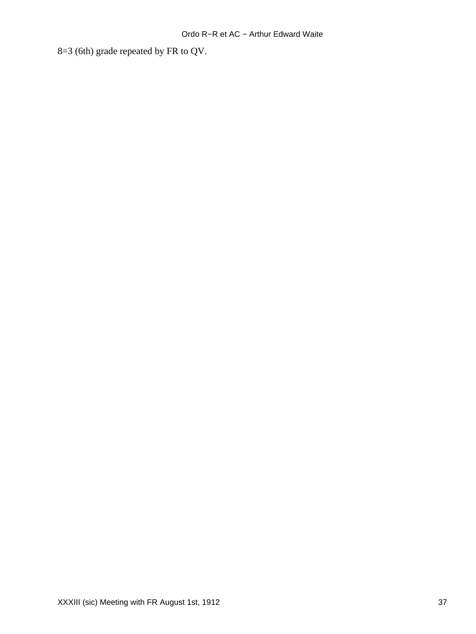8=3 (6th) grade repeated by FR to QV.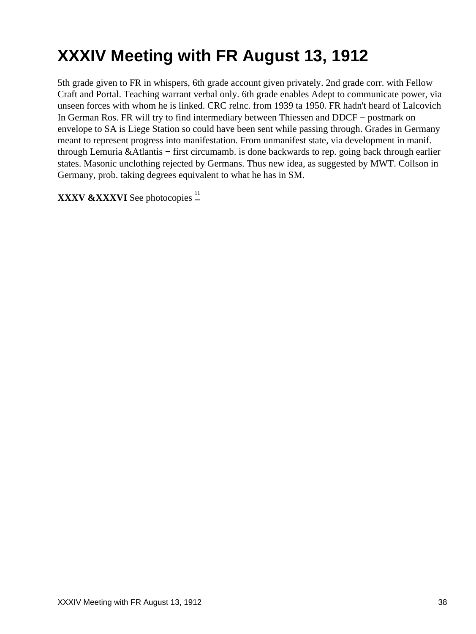## <span id="page-40-0"></span>**XXXIV Meeting with FR August 13, 1912**

5th grade given to FR in whispers, 6th grade account given privately. 2nd grade corr. with Fellow Craft and Portal. Teaching warrant verbal only. 6th grade enables Adept to communicate power, via unseen forces with whom he is linked. CRC relnc. from 1939 ta 1950. FR hadn't heard of Lalcovich In German Ros. FR will try to find intermediary between Thiessen and DDCF − postmark on envelope to SA is Liege Station so could have been sent while passing through. Grades in Germany meant to represent progress into manifestation. From unmanifest state, via development in manif. through Lemuria &Atlantis − first circumamb. is done backwards to rep. going back through earlier states. Masonic unclothing rejected by Germans. Thus new idea, as suggested by MWT. Collson in Germany, prob. taking degrees equivalent to what he has in SM.

**XXXV &XXXVI** See photocopies  $\frac{11}{n}$  $\frac{11}{n}$  $\frac{11}{n}$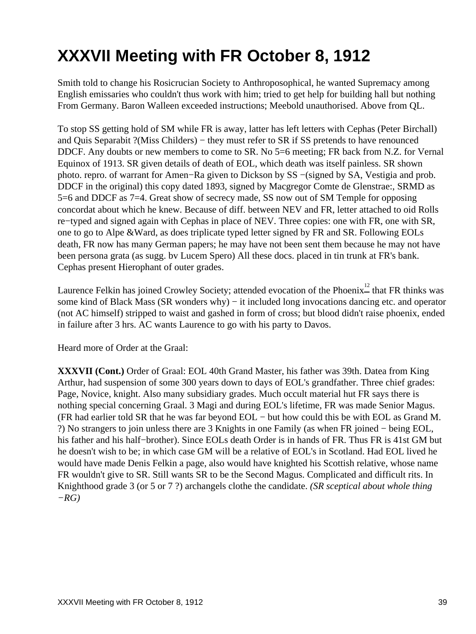## <span id="page-41-0"></span>**XXXVII Meeting with FR October 8, 1912**

Smith told to change his Rosicrucian Society to Anthroposophical, he wanted Supremacy among English emissaries who couldn't thus work with him; tried to get help for building hall but nothing From Germany. Baron Walleen exceeded instructions; Meebold unauthorised. Above from QL.

To stop SS getting hold of SM while FR is away, latter has left letters with Cephas (Peter Birchall) and Quis Separabit ?(Miss Childers) − they must refer to SR if SS pretends to have renounced DDCF. Any doubts or new members to come to SR. No 5=6 meeting; FR back from N.Z. for Vernal Equinox of 1913. SR given details of death of EOL, which death was itself painless. SR shown photo. repro. of warrant for Amen−Ra given to Dickson by SS −(signed by SA, Vestigia and prob. DDCF in the original) this copy dated 1893, signed by Macgregor Comte de Glenstrae:, SRMD as 5=6 and DDCF as 7=4. Great show of secrecy made, SS now out of SM Temple for opposing concordat about which he knew. Because of diff. between NEV and FR, letter attached to oid Rolls re−typed and signed again with Cephas in place of NEV. Three copies: one with FR, one with SR, one to go to Alpe &Ward, as does triplicate typed letter signed by FR and SR. Following EOLs death, FR now has many German papers; he may have not been sent them because he may not have been persona grata (as sugg. bv Lucem Spero) All these docs. placed in tin trunk at FR's bank. Cephas present Hierophant of outer grades.

Laurence Felkin has joined Crowley Society; attended evocation of the Phoenix<sup>[12](#page-45-11)</sup> that FR thinks was some kind of Black Mass (SR wonders why) – it included long invocations dancing etc. and operator (not AC himself) stripped to waist and gashed in form of cross; but blood didn't raise phoenix, ended in failure after 3 hrs. AC wants Laurence to go with his party to Davos.

Heard more of Order at the Graal:

**XXXVII (Cont.)** Order of Graal: EOL 40th Grand Master, his father was 39th. Datea from King Arthur, had suspension of some 300 years down to days of EOL's grandfather. Three chief grades: Page, Novice, knight. Also many subsidiary grades. Much occult material hut FR says there is nothing special concerning Graal. 3 Magi and during EOL's lifetime, FR was made Senior Magus. (FR had earlier told SR that he was far beyond EOL − but how could this be with EOL as Grand M. ?) No strangers to join unless there are 3 Knights in one Family (as when FR joined − being EOL, his father and his half−brother). Since EOLs death Order is in hands of FR. Thus FR is 41st GM but he doesn't wish to be; in which case GM will be a relative of EOL's in Scotland. Had EOL lived he would have made Denis Felkin a page, also would have knighted his Scottish relative, whose name FR wouldn't give to SR. Still wants SR to be the Second Magus. Complicated and difficult rits. In Knighthood grade 3 (or 5 or 7 ?) archangels clothe the candidate. *(SR sceptical about whole thing −RG)*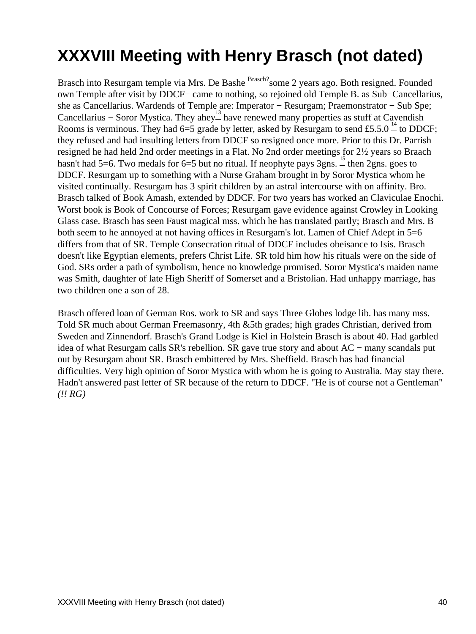## <span id="page-42-0"></span>**XXXVIII Meeting with Henry Brasch (not dated)**

Brasch into Resurgam temple via Mrs. De Bashe Brasch? Some 2 years ago. Both resigned. Founded own Temple after visit by DDCF− came to nothing, so rejoined old Temple B. as Sub−Cancellarius, she as Cancellarius. Wardends of Temple are: Imperator − Resurgam; Praemonstrator − Sub Spe; Cancellarius – Soror Mystica. They ahey<sup>[13](#page-45-12)</sup> have renewed many properties as stuff at Cavendish Rooms is verminous. They had 6=5 grade by letter, asked by Resurgam to send £5.5.0  $\frac{14}{10}$  $\frac{14}{10}$  $\frac{14}{10}$  to DDCF; they refused and had insulting letters from DDCF so resigned once more. Prior to this Dr. Parrish resigned he had held 2nd order meetings in a Flat. No 2nd order meetings for 2½ years so Braach hasn't had 5=6. Two medals for 6=5 but no ritual. If neophyte pays  $3\text{gns}$ .  $\overset{1}{\sim}$  then 2gns. goes to DDCF. Resurgam up to something with a Nurse Graham brought in by Soror Mystica whom he visited continually. Resurgam has 3 spirit children by an astral intercourse with on affinity. Bro. Brasch talked of Book Amash, extended by DDCF. For two years has worked an Claviculae Enochi. Worst book is Book of Concourse of Forces; Resurgam gave evidence against Crowley in Looking Glass case. Brasch has seen Faust magical mss. which he has translated partly; Brasch and Mrs. B both seem to he annoyed at not having offices in Resurgam's lot. Lamen of Chief Adept in 5=6 differs from that of SR. Temple Consecration ritual of DDCF includes obeisance to Isis. Brasch doesn't like Egyptian elements, prefers Christ Life. SR told him how his rituals were on the side of God. SRs order a path of symbolism, hence no knowledge promised. Soror Mystica's maiden name was Smith, daughter of late High Sheriff of Somerset and a Bristolian. Had unhappy marriage, has two children one a son of 28.

Brasch offered loan of German Ros. work to SR and says Three Globes lodge lib. has many mss. Told SR much about German Freemasonry, 4th &5th grades; high grades Christian, derived from Sweden and Zinnendorf. Brasch's Grand Lodge is Kiel in Holstein Brasch is about 40. Had garbled idea of what Resurgam calls SR's rebellion. SR gave true story and about AC − many scandals put out by Resurgam about SR. Brasch embittered by Mrs. Sheffield. Brasch has had financial difficulties. Very high opinion of Soror Mystica with whom he is going to Australia. May stay there. Hadn't answered past letter of SR because of the return to DDCF. "He is of course not a Gentleman" *(!! RG)*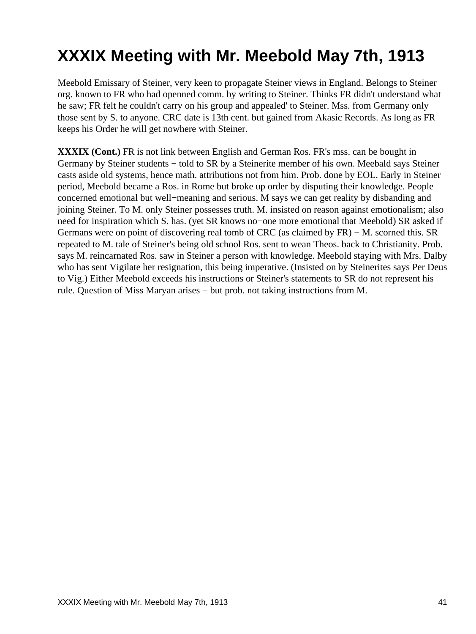## <span id="page-43-0"></span>**XXXIX Meeting with Mr. Meebold May 7th, 1913**

Meebold Emissary of Steiner, very keen to propagate Steiner views in England. Belongs to Steiner org. known to FR who had openned comm. by writing to Steiner. Thinks FR didn't understand what he saw; FR felt he couldn't carry on his group and appealed' to Steiner. Mss. from Germany only those sent by S. to anyone. CRC date is 13th cent. but gained from Akasic Records. As long as FR keeps his Order he will get nowhere with Steiner.

**XXXIX (Cont.)** FR is not link between English and German Ros. FR's mss. can be bought in Germany by Steiner students − told to SR by a Steinerite member of his own. Meebald says Steiner casts aside old systems, hence math. attributions not from him. Prob. done by EOL. Early in Steiner period, Meebold became a Ros. in Rome but broke up order by disputing their knowledge. People concerned emotional but well−meaning and serious. M says we can get reality by disbanding and joining Steiner. To M. only Steiner possesses truth. M. insisted on reason against emotionalism; also need for inspiration which S. has. (yet SR knows no−one more emotional that Meebold) SR asked if Germans were on point of discovering real tomb of CRC (as claimed by FR) – M. scorned this. SR repeated to M. tale of Steiner's being old school Ros. sent to wean Theos. back to Christianity. Prob. says M. reincarnated Ros. saw in Steiner a person with knowledge. Meebold staying with Mrs. Dalby who has sent Vigilate her resignation, this being imperative. (Insisted on by Steinerites says Per Deus to Vig.) Either Meebold exceeds his instructions or Steiner's statements to SR do not represent his rule. Question of Miss Maryan arises − but prob. not taking instructions from M.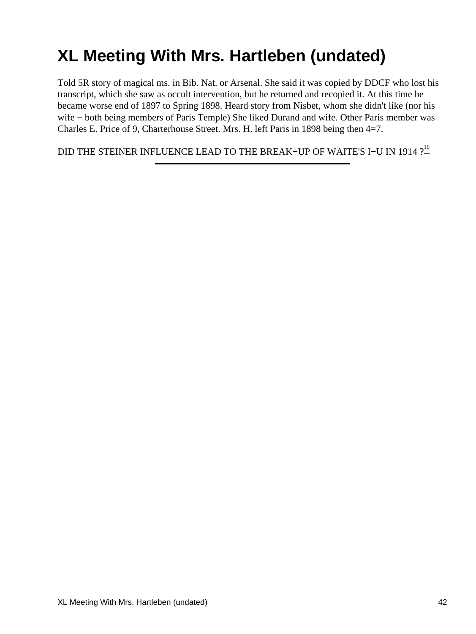# <span id="page-44-0"></span>**XL Meeting With Mrs. Hartleben (undated)**

Told 5R story of magical ms. in Bib. Nat. or Arsenal. She said it was copied by DDCF who lost his transcript, which she saw as occult intervention, but he returned and recopied it. At this time he became worse end of 1897 to Spring 1898. Heard story from Nisbet, whom she didn't like (nor his wife − both being members of Paris Temple) She liked Durand and wife. Other Paris member was Charles E. Price of 9, Charterhouse Street. Mrs. H. left Paris in 1898 being then 4=7.

DID THE STEINER INFLUENCE LEAD TO THE BREAK−UP OF WAITE'S I–U IN 1914  $?_-^{\text{16}}$  $?_-^{\text{16}}$  $?_-^{\text{16}}$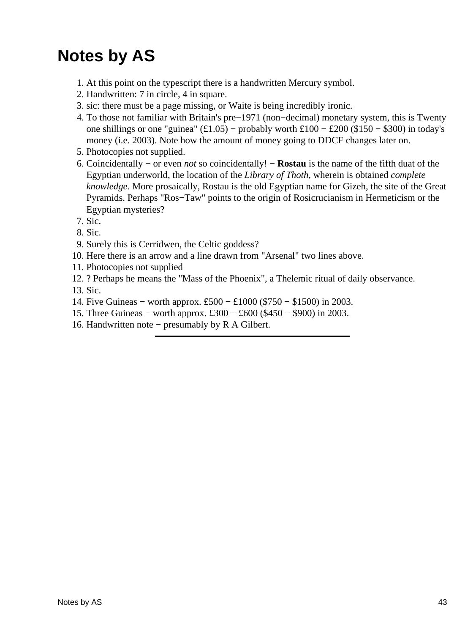## <span id="page-45-2"></span><span id="page-45-1"></span><span id="page-45-0"></span>**Notes by AS**

- 1. At this point on the typescript there is a handwritten Mercury symbol.
- 2. Handwritten: 7 in circle, 4 in square.
- <span id="page-45-3"></span>3. sic: there must be a page missing, or Waite is being incredibly ironic.
- <span id="page-45-4"></span>4. To those not familiar with Britain's pre–1971 (non–decimal) monetary system, this is Twenty one shillings or one "guinea"  $(\text{\textsterling}1.05)$  – probably worth  $\text{\textsterling}100 - \text{\textsterling}200$  (\$150 – \$300) in today's money (i.e. 2003). Note how the amount of money going to DDCF changes later on.
- <span id="page-45-5"></span>5. Photocopies not supplied.
- <span id="page-45-6"></span>6. Coincidentally – or even *not* so coincidentally! – **Rostau** is the name of the fifth duat of the Egyptian underworld, the location of the *Library of Thoth*, wherein is obtained *complete knowledge*. More prosaically, Rostau is the old Egyptian name for Gizeh, the site of the Great Pyramids. Perhaps "Ros−Taw" points to the origin of Rosicrucianism in Hermeticism or the Egyptian mysteries?
- <span id="page-45-7"></span>7. Sic.
- <span id="page-45-8"></span>8. Sic.
- 9. Surely this is Cerridwen, the Celtic goddess?
- <span id="page-45-9"></span>10. Here there is an arrow and a line drawn from "Arsenal" two lines above.
- <span id="page-45-10"></span>11. Photocopies not supplied
- <span id="page-45-11"></span>12. ? Perhaps he means the "Mass of the Phoenix", a Thelemic ritual of daily observance.

<span id="page-45-12"></span>13. Sic.

- <span id="page-45-13"></span>14. Five Guineas − worth approx. £500 − £1000 (\$750 − \$1500) in 2003.
- <span id="page-45-14"></span>15. Three Guineas − worth approx. £300 − £600 (\$450 − \$900) in 2003.
- <span id="page-45-15"></span>16. Handwritten note − presumably by R A Gilbert.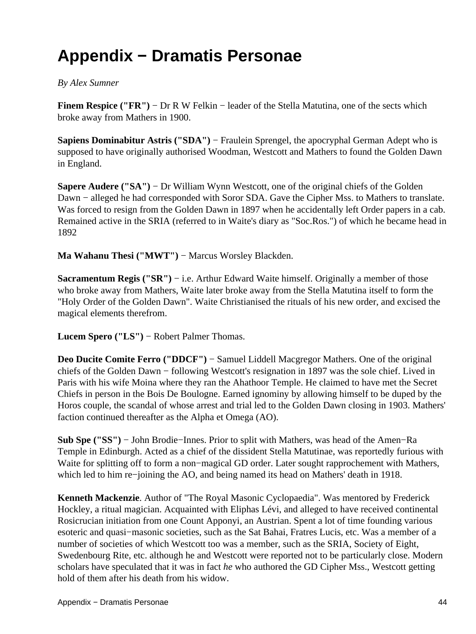### <span id="page-46-0"></span>**Appendix − Dramatis Personae**

#### <span id="page-46-1"></span>*By Alex Sumner*

**Finem Respice ("FR")** − Dr R W Felkin − leader of the Stella Matutina, one of the sects which broke away from Mathers in 1900.

<span id="page-46-2"></span>**Sapiens Dominabitur Astris ("SDA")** − Fraulein Sprengel, the apocryphal German Adept who is supposed to have originally authorised Woodman, Westcott and Mathers to found the Golden Dawn in England.

<span id="page-46-3"></span>**Sapere Audere ("SA")** − Dr William Wynn Westcott, one of the original chiefs of the Golden Dawn − alleged he had corresponded with Soror SDA. Gave the Cipher Mss. to Mathers to translate. Was forced to resign from the Golden Dawn in 1897 when he accidentally left Order papers in a cab. Remained active in the SRIA (referred to in Waite's diary as "Soc.Ros.") of which he became head in 1892

<span id="page-46-5"></span><span id="page-46-4"></span>Ma Wahanu Thesi ("MWT") − Marcus Worsley Blackden.

**Sacramentum Regis ("SR")** − i.e. Arthur Edward Waite himself. Originally a member of those who broke away from Mathers, Waite later broke away from the Stella Matutina itself to form the "Holy Order of the Golden Dawn". Waite Christianised the rituals of his new order, and excised the magical elements therefrom.

<span id="page-46-7"></span><span id="page-46-6"></span>**Lucem Spero ("LS")** − Robert Palmer Thomas.

**Deo Ducite Comite Ferro ("DDCF")** − Samuel Liddell Macgregor Mathers. One of the original chiefs of the Golden Dawn − following Westcott's resignation in 1897 was the sole chief. Lived in Paris with his wife Moina where they ran the Ahathoor Temple. He claimed to have met the Secret Chiefs in person in the Bois De Boulogne. Earned ignominy by allowing himself to be duped by the Horos couple, the scandal of whose arrest and trial led to the Golden Dawn closing in 1903. Mathers' faction continued thereafter as the Alpha et Omega (AO).

<span id="page-46-8"></span>**Sub Spe ("SS")** − John Brodie−Innes. Prior to split with Mathers, was head of the Amen−Ra Temple in Edinburgh. Acted as a chief of the dissident Stella Matutinae, was reportedly furious with Waite for splitting off to form a non−magical GD order. Later sought rapprochement with Mathers, which led to him re−joining the AO, and being named its head on Mathers' death in 1918.

<span id="page-46-10"></span><span id="page-46-9"></span>**Kenneth Mackenzie**. Author of "The Royal Masonic Cyclopaedia". Was mentored by Frederick Hockley, a ritual magician. Acquainted with Eliphas Lévi, and alleged to have received continental Rosicrucian initiation from one Count Apponyi, an Austrian. Spent a lot of time founding various esoteric and quasi−masonic societies, such as the Sat Bahai, Fratres Lucis, etc. Was a member of a number of societies of which Westcott too was a member, such as the SRIA, Society of Eight, Swedenbourg Rite, etc. although he and Westcott were reported not to be particularly close. Modern scholars have speculated that it was in fact *he* who authored the GD Cipher Mss., Westcott getting hold of them after his death from his widow.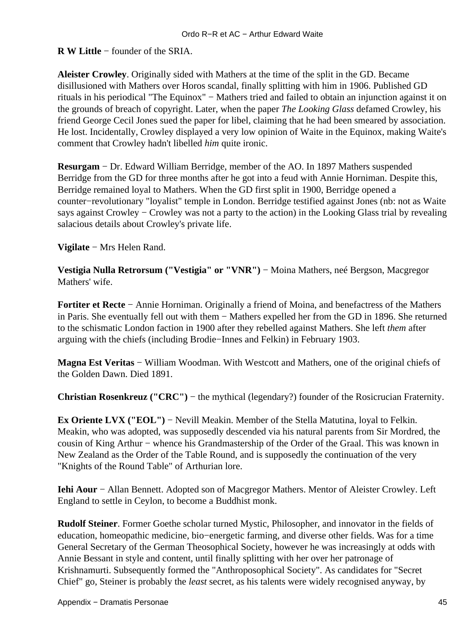<span id="page-47-0"></span>**R W Little** − founder of the SRIA.

**Aleister Crowley**. Originally sided with Mathers at the time of the split in the GD. Became disillusioned with Mathers over Horos scandal, finally splitting with him in 1906. Published GD rituals in his periodical "The Equinox" − Mathers tried and failed to obtain an injunction against it on the grounds of breach of copyright. Later, when the paper *The Looking Glass* defamed Crowley, his friend George Cecil Jones sued the paper for libel, claiming that he had been smeared by association. He lost. Incidentally, Crowley displayed a very low opinion of Waite in the Equinox, making Waite's comment that Crowley hadn't libelled *him* quite ironic.

<span id="page-47-1"></span>**Resurgam** − Dr. Edward William Berridge, member of the AO. In 1897 Mathers suspended Berridge from the GD for three months after he got into a feud with Annie Horniman. Despite this, Berridge remained loyal to Mathers. When the GD first split in 1900, Berridge opened a counter−revolutionary "loyalist" temple in London. Berridge testified against Jones (nb: not as Waite says against Crowley − Crowley was not a party to the action) in the Looking Glass trial by revealing salacious details about Crowley's private life.

<span id="page-47-3"></span><span id="page-47-2"></span>**Vigilate** − Mrs Helen Rand.

**Vestigia Nulla Retrorsum ("Vestigia" or "VNR")** − Moina Mathers, neé Bergson, Macgregor Mathers' wife.

<span id="page-47-4"></span>**Fortiter et Recte** − Annie Horniman. Originally a friend of Moina, and benefactress of the Mathers in Paris. She eventually fell out with them − Mathers expelled her from the GD in 1896. She returned to the schismatic London faction in 1900 after they rebelled against Mathers. She left *them* after arguing with the chiefs (including Brodie−Innes and Felkin) in February 1903.

<span id="page-47-5"></span>**Magna Est Veritas** − William Woodman. With Westcott and Mathers, one of the original chiefs of the Golden Dawn. Died 1891.

<span id="page-47-7"></span><span id="page-47-6"></span>**Christian Rosenkreuz ("CRC")** − the mythical (legendary?) founder of the Rosicrucian Fraternity.

**Ex Oriente LVX ("EOL")** − Nevill Meakin. Member of the Stella Matutina, loyal to Felkin. Meakin, who was adopted, was supposedly descended via his natural parents from Sir Mordred, the cousin of King Arthur − whence his Grandmastership of the Order of the Graal. This was known in New Zealand as the Order of the Table Round, and is supposedly the continuation of the very "Knights of the Round Table" of Arthurian lore.

<span id="page-47-8"></span>**Iehi Aour** − Allan Bennett. Adopted son of Macgregor Mathers. Mentor of Aleister Crowley. Left England to settle in Ceylon, to become a Buddhist monk.

<span id="page-47-9"></span>**Rudolf Steiner**. Former Goethe scholar turned Mystic, Philosopher, and innovator in the fields of education, homeopathic medicine, bio−energetic farming, and diverse other fields. Was for a time General Secretary of the German Theosophical Society, however he was increasingly at odds with Annie Bessant in style and content, until finally splitting with her over her patronage of Krishnamurti. Subsequently formed the "Anthroposophical Society". As candidates for "Secret Chief" go, Steiner is probably the *least* secret, as his talents were widely recognised anyway, by